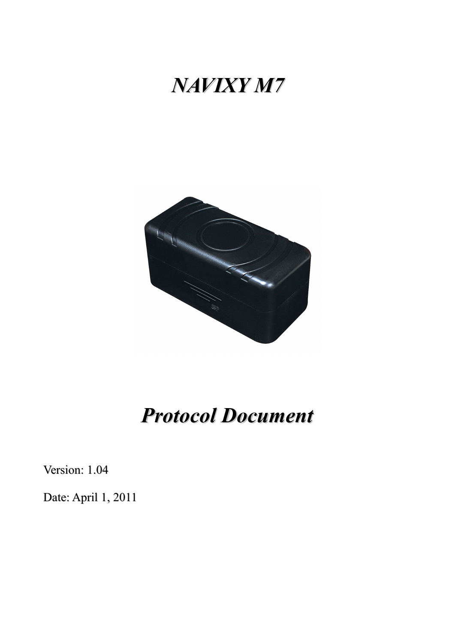# *NAVIXY M7*



# *Protocol Document*

Version: 1.04

Date: April 1, 2011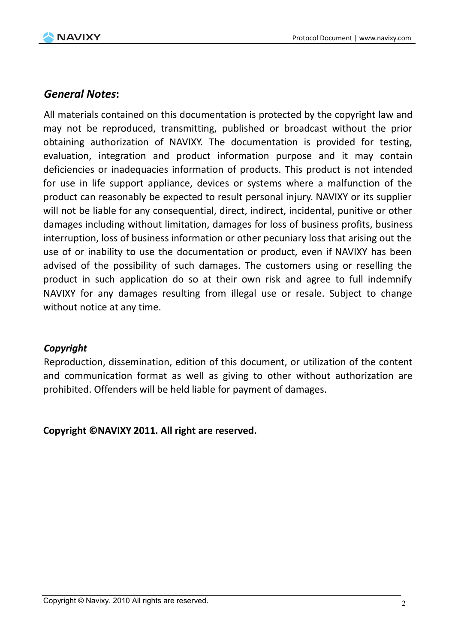

#### *General Notes***:**

All materials contained on this documentation is protected by the copyright law and may not be reproduced, transmitting, published or broadcast without the prior obtaining authorization of NAVIXY. The documentation is provided for testing, evaluation, integration and product information purpose and it may contain deficiencies or inadequacies information of products. This product is not intended for use in life support appliance, devices or systems where a malfunction of the product can reasonably be expected to result personal injury. NAVIXY or its supplier will not be liable for any consequential, direct, indirect, incidental, punitive or other damages including without limitation, damages for loss of business profits, business interruption, loss of business information or other pecuniary loss that arising out the use of or inability to use the documentation or product, even if NAVIXY has been advised of the possibility of such damages. The customers using or reselling the product in such application do so at their own risk and agree to full indemnify NAVIXY for any damages resulting from illegal use or resale. Subject to change without notice at any time.

#### *Copyright*

Reproduction, dissemination, edition of this document, or utilization of the content and communication format as well as giving to other without authorization are prohibited. Offenders will be held liable for payment of damages.

**Copyright ©NAVIXY 2011. All right are reserved.**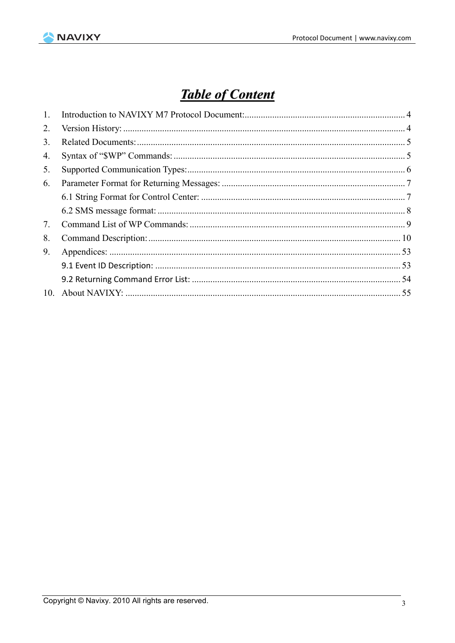

## **Table of Content**

| $\mathbf{1}$ . |  |
|----------------|--|
| 2.             |  |
| 3.             |  |
| 4.             |  |
| 5.             |  |
| 6.             |  |
|                |  |
|                |  |
| 7.             |  |
| 8.             |  |
| 9.             |  |
|                |  |
|                |  |
| 10.            |  |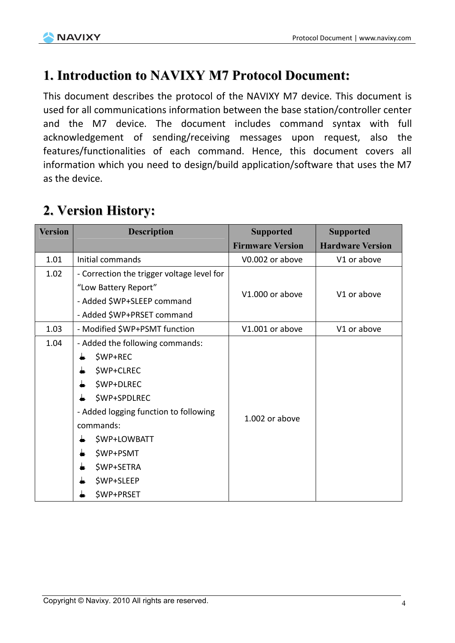

### **1. Introduction to NAVIXY M7 Protocol Document:**

This document describes the protocol of the NAVIXY M7 device. This document is used for all communications information between the base station/controller center and the M7 device. The document includes command syntax with full acknowledgement of sending/receiving messages upon request, also the features/functionalities of each command. Hence, this document covers all information which you need to design/build application/software that uses the M7 as the device.

### **2. Version History:**

| <b>Version</b> | <b>Description</b>                         | <b>Supported</b><br><b>Firmware Version</b> | <b>Supported</b><br><b>Hardware Version</b> |
|----------------|--------------------------------------------|---------------------------------------------|---------------------------------------------|
| 1.01           | Initial commands                           | V0.002 or above                             | V1 or above                                 |
| 1.02           | - Correction the trigger voltage level for |                                             |                                             |
|                | "Low Battery Report"                       |                                             |                                             |
|                | - Added \$WP+SLEEP command                 | V1.000 or above                             | V1 or above                                 |
|                | - Added \$WP+PRSET command                 |                                             |                                             |
| 1.03           | - Modified \$WP+PSMT function              | V1.001 or above                             | V1 or above                                 |
| 1.04           | - Added the following commands:            |                                             |                                             |
|                | \$WP+REC                                   |                                             |                                             |
|                | \$WP+CLREC                                 |                                             |                                             |
|                | \$WP+DLREC                                 |                                             |                                             |
|                | \$WP+SPDLREC                               |                                             |                                             |
|                | - Added logging function to following      | 1.002 or above                              |                                             |
|                | commands:                                  |                                             |                                             |
|                | \$WP+LOWBATT                               |                                             |                                             |
|                | \$WP+PSMT                                  |                                             |                                             |
|                | \$WP+SETRA                                 |                                             |                                             |
|                | \$WP+SLEEP                                 |                                             |                                             |
|                | \$WP+PRSET                                 |                                             |                                             |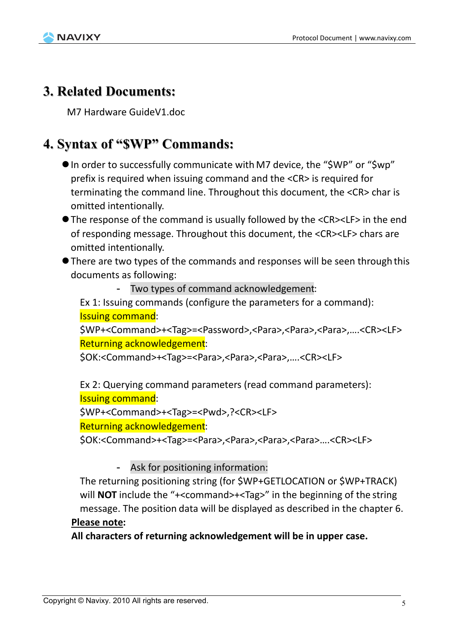

### **3. Related Documents:**

M7 Hardware GuideV1.doc

### **4. Syntax of "\$WP" Commands:**

- In order to successfully communicate with M7 device, the "\$WP" or "\$wp" prefix is required when issuing command and the <CR> is required for terminating the command line. Throughout this document, the <CR> char is omitted intentionally.
- The response of the command is usually followed by the <CR><LF> in the end of responding message. Throughout this document, the <CR><LF> chars are omitted intentionally.
- There are two types of the commands and responses will be seen through this documents as following:

- Two types of command acknowledgement:

Ex 1: Issuing commands (configure the parameters for a command): Issuing command:

\$WP+<Command>+<Tag>=<Password>,<Para>,<Para>,<Para>,….<CR><LF> Returning acknowledgement:

\$OK:<Command>+<Tag>=<Para>,<Para>,<Para>,….<CR><LF>

Ex 2: Querying command parameters (read command parameters): Issuing command:

\$WP+<Command>+<Tag>=<Pwd>,?<CR><LF>

Returning acknowledgement:

\$OK:<Command>+<Tag>=<Para>,<Para>,<Para>,<Para>….<CR><LF>

- Ask for positioning information:

The returning positioning string (for \$WP+GETLOCATION or \$WP+TRACK) will **NOT** include the "+<command>+<Tag>" in the beginning of the string message. The position data will be displayed as described in the chapter 6.

#### **Please note:**

**All characters of returning acknowledgement will be in upper case.**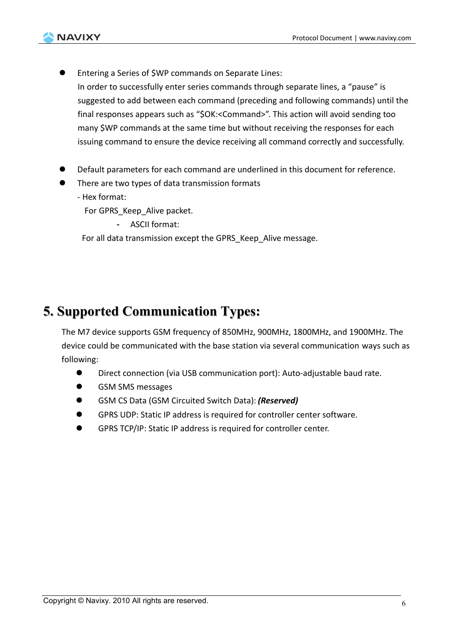

 Entering a Series of \$WP commands on Separate Lines: In order to successfully enter series commands through separate lines, a "pause" is suggested to add between each command (preceding and following commands) until the final responses appears such as "\$OK:<Command>". This action will avoid sending too many \$WP commands at the same time but without receiving the responses for each issuing command to ensure the device receiving all command correctly and successfully.

- Default parameters for each command are underlined in this document for reference.
- There are two types of data transmission formats
	- Hex format:

For GPRS Keep Alive packet.

- ASCII format:

For all data transmission except the GPRS Keep Alive message.

### **5. Supported Communication Types:**

The M7 device supports GSM frequency of 850MHz, 900MHz, 1800MHz, and 1900MHz. The device could be communicated with the base station via several communication ways such as following:

- Direct connection (via USB communication port): Auto-adjustable baud rate.
- **GSM SMS messages**
- GSM CS Data (GSM Circuited Switch Data): *(Reserved)*
- GPRS UDP: Static IP address is required for controller center software.
- GPRS TCP/IP: Static IP address is required for controller center.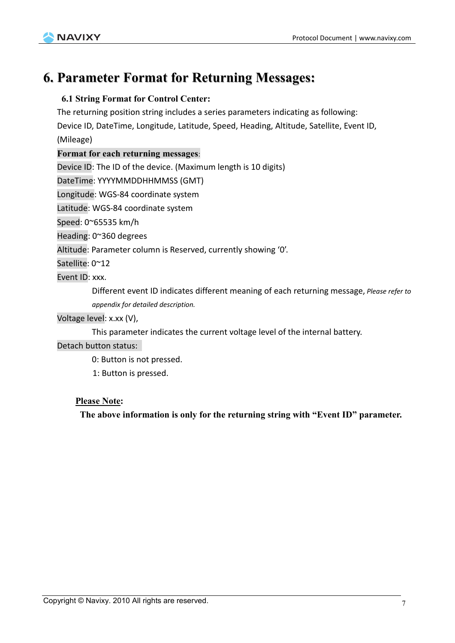

### **6. Parameter Format for Returning Messages:**

#### **6.1 String Format for Control Center:**

The returning position string includes a series parameters indicating as following:

Device ID, DateTime, Longitude, Latitude, Speed, Heading, Altitude, Satellite, Event ID, (Mileage)

#### **Format for each returning messages**:

Device ID: The ID of the device. (Maximum length is 10 digits)

DateTime: YYYYMMDDHHMMSS (GMT)

Longitude: WGS-84 coordinate system

Latitude: WGS-84 coordinate system

Speed: 0~65535 km/h

Heading: 0~360 degrees

Altitude: Parameter column is Reserved, currently showing '0'.

Satellite: 0~12

Event ID: xxx.

Different event ID indicates different meaning of each returning message, *Please refer to appendix for detailed description.*

#### Voltage level: x.xx (V),

This parameter indicates the current voltage level of the internal battery.

#### Detach button status:

0: Button is not pressed.

1: Button is pressed.

#### **Please Note:**

**The above information is only for the returning string with "Event ID" parameter.**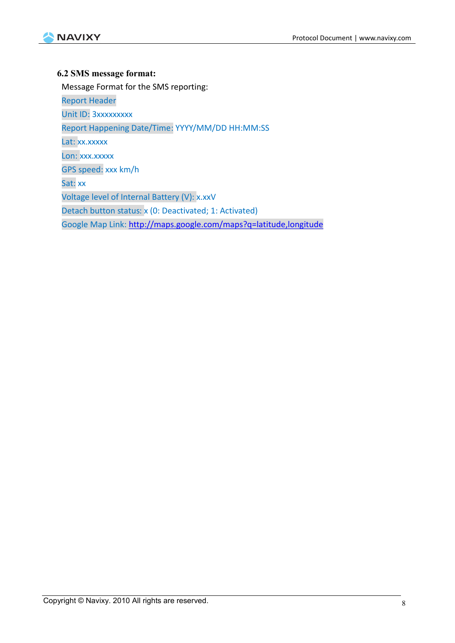

#### **6.2 SMS message format:**

Message Format for the SMS reporting:

Report Header Unit ID: 3xxxxxxxxx Report Happening Date/Time: YYYY/MM/DD HH:MM:SS Lat: xx.xxxxx Lon: xxx.xxxxx GPS speed: xxx km/h Sat: xx Voltage level of Internal Battery (V): x.xxV Detach button status: x (0: Deactivated; 1: Activated) Google Map Link: http://maps.google.com/maps?q=latitude,longitude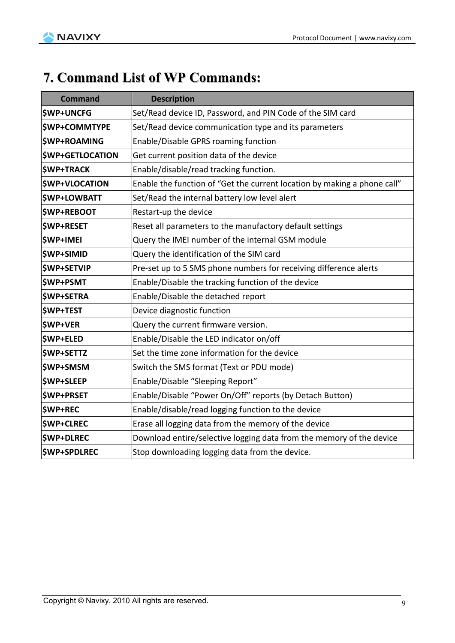

### **7. Command List of WP Commands:**

| <b>Command</b>                                                                            | <b>Description</b>                                                       |  |  |
|-------------------------------------------------------------------------------------------|--------------------------------------------------------------------------|--|--|
| <b>\$WP+UNCFG</b>                                                                         | Set/Read device ID, Password, and PIN Code of the SIM card               |  |  |
| <b>\$WP+COMMTYPE</b>                                                                      | Set/Read device communication type and its parameters                    |  |  |
| <b><i>SWP+ROAMING</i></b>                                                                 | Enable/Disable GPRS roaming function                                     |  |  |
| <b>\$WP+GETLOCATION</b>                                                                   | Get current position data of the device                                  |  |  |
| <b>\$WP+TRACK</b>                                                                         | Enable/disable/read tracking function.                                   |  |  |
| <b>\$WP+VLOCATION</b>                                                                     | Enable the function of "Get the current location by making a phone call" |  |  |
| <b>\$WP+LOWBATT</b>                                                                       | Set/Read the internal battery low level alert                            |  |  |
| <b>\$WP+REBOOT</b>                                                                        | Restart-up the device                                                    |  |  |
| <b>\$WP+RESET</b>                                                                         | Reset all parameters to the manufactory default settings                 |  |  |
| <b>\$WP+IMEI</b>                                                                          | Query the IMEI number of the internal GSM module                         |  |  |
| <b>\$WP+SIMID</b>                                                                         | Query the identification of the SIM card                                 |  |  |
| <b>\$WP+SETVIP</b>                                                                        | Pre-set up to 5 SMS phone numbers for receiving difference alerts        |  |  |
| <b>\$WP+PSMT</b>                                                                          | Enable/Disable the tracking function of the device                       |  |  |
| <b>\$WP+SETRA</b>                                                                         | Enable/Disable the detached report                                       |  |  |
| <b>\$WP+TEST</b>                                                                          | Device diagnostic function                                               |  |  |
| <b>\$WP+VER</b>                                                                           | Query the current firmware version.                                      |  |  |
| <b>\$WP+ELED</b>                                                                          | Enable/Disable the LED indicator on/off                                  |  |  |
| <b>\$WP+SETTZ</b>                                                                         | Set the time zone information for the device                             |  |  |
| <b>\$WP+SMSM</b>                                                                          | Switch the SMS format (Text or PDU mode)                                 |  |  |
| <b>\$WP+SLEEP</b>                                                                         | Enable/Disable "Sleeping Report"                                         |  |  |
| <b>\$WP+PRSET</b>                                                                         | Enable/Disable "Power On/Off" reports (by Detach Button)                 |  |  |
| <b>\$WP+REC</b>                                                                           | Enable/disable/read logging function to the device                       |  |  |
| <b>\$WP+CLREC</b>                                                                         | Erase all logging data from the memory of the device                     |  |  |
| <b>\$WP+DLREC</b><br>Download entire/selective logging data from the memory of the device |                                                                          |  |  |
| <b>\$WP+SPDLREC</b><br>Stop downloading logging data from the device.                     |                                                                          |  |  |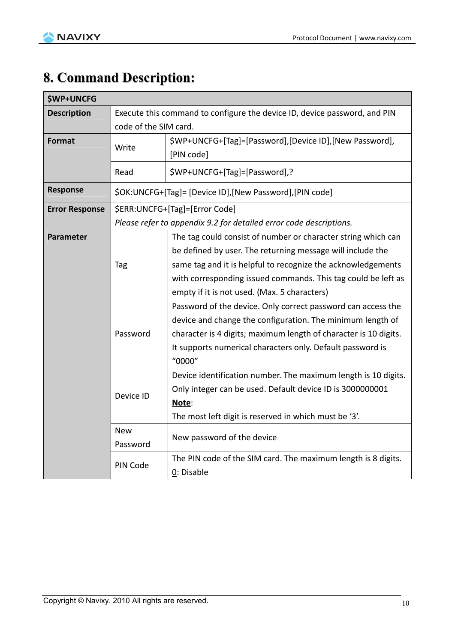## **8. Command Description:**

| <b>\$WP+UNCFG</b>     |                                                                           |                                                                             |  |  |
|-----------------------|---------------------------------------------------------------------------|-----------------------------------------------------------------------------|--|--|
| <b>Description</b>    | Execute this command to configure the device ID, device password, and PIN |                                                                             |  |  |
|                       | code of the SIM card.                                                     |                                                                             |  |  |
| Format                | Write                                                                     | \$WP+UNCFG+[Tag]=[Password],[Device ID],[New Password],<br>[PIN code]       |  |  |
|                       | Read                                                                      | \$WP+UNCFG+[Tag]=[Password],?                                               |  |  |
| Response              |                                                                           | \$OK:UNCFG+[Tag]= [Device ID], [New Password], [PIN code]                   |  |  |
| <b>Error Response</b> |                                                                           | \$ERR:UNCFG+[Tag]=[Error Code]                                              |  |  |
|                       | Please refer to appendix 9.2 for detailed error code descriptions.        |                                                                             |  |  |
| Parameter             |                                                                           | The tag could consist of number or character string which can               |  |  |
|                       |                                                                           | be defined by user. The returning message will include the                  |  |  |
|                       | Tag                                                                       | same tag and it is helpful to recognize the acknowledgements                |  |  |
|                       |                                                                           | with corresponding issued commands. This tag could be left as               |  |  |
|                       |                                                                           | empty if it is not used. (Max. 5 characters)                                |  |  |
|                       |                                                                           | Password of the device. Only correct password can access the                |  |  |
|                       |                                                                           | device and change the configuration. The minimum length of                  |  |  |
|                       | Password                                                                  | character is 4 digits; maximum length of character is 10 digits.            |  |  |
|                       |                                                                           | It supports numerical characters only. Default password is                  |  |  |
|                       |                                                                           | "0000"                                                                      |  |  |
|                       |                                                                           | Device identification number. The maximum length is 10 digits.              |  |  |
|                       | Device ID                                                                 | Only integer can be used. Default device ID is 3000000001                   |  |  |
|                       |                                                                           | Note:                                                                       |  |  |
|                       |                                                                           | The most left digit is reserved in which must be '3'.                       |  |  |
|                       | <b>New</b><br>Password                                                    | New password of the device                                                  |  |  |
|                       | PIN Code                                                                  | The PIN code of the SIM card. The maximum length is 8 digits.<br>0: Disable |  |  |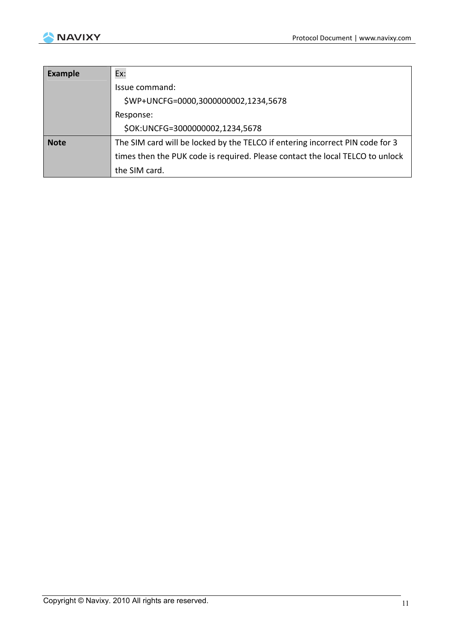

| <b>Example</b> | Ex:                                                                           |
|----------------|-------------------------------------------------------------------------------|
|                | Issue command:                                                                |
|                | \$WP+UNCFG=0000,3000000002,1234,5678                                          |
|                | Response:                                                                     |
|                | \$OK:UNCFG=3000000002,1234,5678                                               |
| <b>Note</b>    | The SIM card will be locked by the TELCO if entering incorrect PIN code for 3 |
|                | times then the PUK code is required. Please contact the local TELCO to unlock |
|                | the SIM card.                                                                 |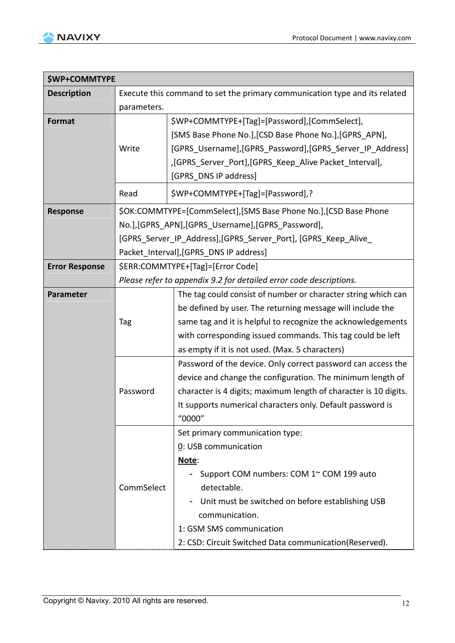

| \$WP+COMMTYPE                                              |                                                                    |                                                                              |  |  |
|------------------------------------------------------------|--------------------------------------------------------------------|------------------------------------------------------------------------------|--|--|
| <b>Description</b>                                         |                                                                    | Execute this command to set the primary communication type and its related   |  |  |
|                                                            | parameters.                                                        |                                                                              |  |  |
| Format                                                     |                                                                    | \$WP+COMMTYPE+[Tag]=[Password],[CommSelect],                                 |  |  |
|                                                            |                                                                    | [SMS Base Phone No.], [CSD Base Phone No.], [GPRS APN],                      |  |  |
|                                                            | Write                                                              | [GPRS_Username], [GPRS_Password], [GPRS_Server_IP_Address]                   |  |  |
|                                                            |                                                                    | ,[GPRS_Server_Port],[GPRS_Keep_Alive Packet_Interval],                       |  |  |
|                                                            |                                                                    | [GPRS DNS IP address]                                                        |  |  |
|                                                            | Read                                                               | \$WP+COMMTYPE+[Tag]=[Password],?                                             |  |  |
| <b>Response</b>                                            |                                                                    | \$OK:COMMTYPE=[CommSelect], [SMS Base Phone No.], [CSD Base Phone            |  |  |
|                                                            | No.], [GPRS_APN], [GPRS_Username], [GPRS_Password],                |                                                                              |  |  |
|                                                            | [GPRS_Server_IP_Address], [GPRS_Server_Port], [GPRS_Keep_Alive_    |                                                                              |  |  |
|                                                            | Packet_Interval], [GPRS_DNS IP address]                            |                                                                              |  |  |
| \$ERR:COMMTYPE+[Tag]=[Error Code]<br><b>Error Response</b> |                                                                    |                                                                              |  |  |
|                                                            | Please refer to appendix 9.2 for detailed error code descriptions. |                                                                              |  |  |
| Parameter                                                  |                                                                    | The tag could consist of number or character string which can                |  |  |
|                                                            |                                                                    | be defined by user. The returning message will include the                   |  |  |
|                                                            | Tag                                                                | same tag and it is helpful to recognize the acknowledgements                 |  |  |
|                                                            |                                                                    | with corresponding issued commands. This tag could be left                   |  |  |
|                                                            |                                                                    | as empty if it is not used. (Max. 5 characters)                              |  |  |
|                                                            |                                                                    | Password of the device. Only correct password can access the                 |  |  |
|                                                            |                                                                    | device and change the configuration. The minimum length of                   |  |  |
|                                                            | Password                                                           | character is 4 digits; maximum length of character is 10 digits.             |  |  |
|                                                            |                                                                    | It supports numerical characters only. Default password is                   |  |  |
|                                                            |                                                                    | "0000"                                                                       |  |  |
|                                                            |                                                                    | Set primary communication type:                                              |  |  |
|                                                            |                                                                    | 0: USB communication                                                         |  |  |
|                                                            |                                                                    | Note:                                                                        |  |  |
|                                                            |                                                                    | Support COM numbers: COM 1~ COM 199 auto                                     |  |  |
|                                                            | CommSelect                                                         | detectable.                                                                  |  |  |
|                                                            |                                                                    | Unit must be switched on before establishing USB<br>$\overline{\phantom{a}}$ |  |  |
|                                                            |                                                                    | communication.                                                               |  |  |
|                                                            |                                                                    | 1: GSM SMS communication                                                     |  |  |
|                                                            |                                                                    | 2: CSD: Circuit Switched Data communication(Reserved).                       |  |  |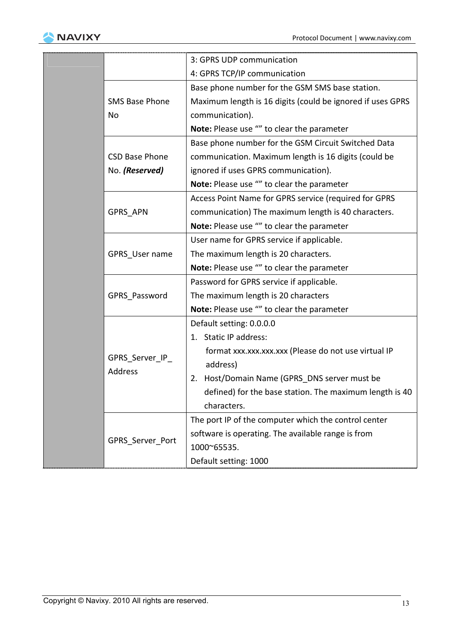

|                           | 3: GPRS UDP communication                                  |
|---------------------------|------------------------------------------------------------|
|                           | 4: GPRS TCP/IP communication                               |
|                           | Base phone number for the GSM SMS base station.            |
| <b>SMS Base Phone</b>     | Maximum length is 16 digits (could be ignored if uses GPRS |
| No                        | communication).                                            |
|                           | Note: Please use "" to clear the parameter                 |
|                           | Base phone number for the GSM Circuit Switched Data        |
| <b>CSD Base Phone</b>     | communication. Maximum length is 16 digits (could be       |
| No. (Reserved)            | ignored if uses GPRS communication).                       |
|                           | Note: Please use "" to clear the parameter                 |
|                           | Access Point Name for GPRS service (required for GPRS      |
| <b>GPRS APN</b>           | communication) The maximum length is 40 characters.        |
|                           | Note: Please use "" to clear the parameter                 |
|                           | User name for GPRS service if applicable.                  |
| GPRS User name            | The maximum length is 20 characters.                       |
|                           | Note: Please use "" to clear the parameter                 |
|                           | Password for GPRS service if applicable.                   |
| GPRS Password             | The maximum length is 20 characters                        |
|                           | Note: Please use "" to clear the parameter                 |
|                           | Default setting: 0.0.0.0                                   |
|                           | 1. Static IP address:                                      |
| GPRS Server IP<br>Address | format xxx.xxx.xxx.xxx (Please do not use virtual IP       |
|                           | address)                                                   |
|                           | 2. Host/Domain Name (GPRS_DNS server must be               |
|                           | defined) for the base station. The maximum length is 40    |
|                           | characters.                                                |
|                           | The port IP of the computer which the control center       |
| GPRS Server Port          | software is operating. The available range is from         |
|                           | 1000~65535.                                                |
|                           | Default setting: 1000                                      |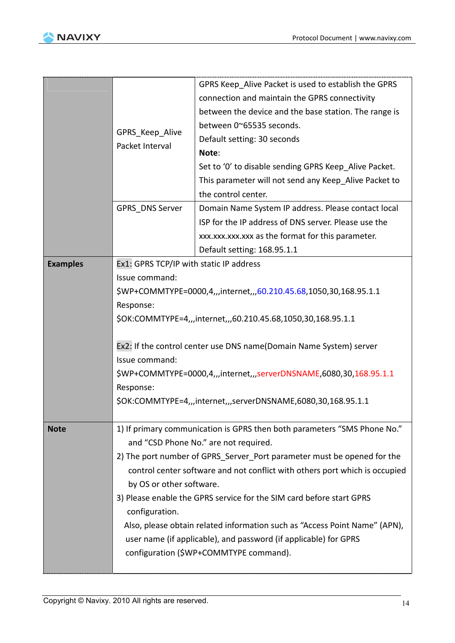

|                 |                                                                             | GPRS Keep_Alive Packet is used to establish the GPRS                     |  |  |  |
|-----------------|-----------------------------------------------------------------------------|--------------------------------------------------------------------------|--|--|--|
|                 | GPRS Keep Alive                                                             | connection and maintain the GPRS connectivity                            |  |  |  |
|                 |                                                                             | between the device and the base station. The range is                    |  |  |  |
|                 |                                                                             | between 0~65535 seconds.                                                 |  |  |  |
|                 |                                                                             | Default setting: 30 seconds                                              |  |  |  |
|                 | Packet Interval                                                             | Note:                                                                    |  |  |  |
|                 |                                                                             | Set to '0' to disable sending GPRS Keep Alive Packet.                    |  |  |  |
|                 |                                                                             | This parameter will not send any Keep_Alive Packet to                    |  |  |  |
|                 |                                                                             | the control center.                                                      |  |  |  |
|                 | GPRS DNS Server                                                             | Domain Name System IP address. Please contact local                      |  |  |  |
|                 |                                                                             | ISP for the IP address of DNS server. Please use the                     |  |  |  |
|                 |                                                                             | xxx.xxx.xxx.xxx as the format for this parameter.                        |  |  |  |
|                 |                                                                             | Default setting: 168.95.1.1                                              |  |  |  |
| <b>Examples</b> | Ex1: GPRS TCP/IP with static IP address                                     |                                                                          |  |  |  |
|                 | Issue command:                                                              |                                                                          |  |  |  |
|                 | \$WP+COMMTYPE=0000,4,,,internet,,,60.210.45.68,1050,30,168.95.1.1           |                                                                          |  |  |  |
|                 | Response:                                                                   |                                                                          |  |  |  |
|                 | \$OK:COMMTYPE=4,,,internet,,,60.210.45.68,1050,30,168.95.1.1                |                                                                          |  |  |  |
|                 |                                                                             |                                                                          |  |  |  |
|                 | Ex2: If the control center use DNS name(Domain Name System) server          |                                                                          |  |  |  |
|                 | Issue command:                                                              |                                                                          |  |  |  |
|                 |                                                                             | \$WP+COMMTYPE=0000,4,,,internet,,,serverDNSNAME,6080,30,168.95.1.1       |  |  |  |
|                 | Response:                                                                   |                                                                          |  |  |  |
|                 | \$OK:COMMTYPE=4,,,internet,,,serverDNSNAME,6080,30,168.95.1.1               |                                                                          |  |  |  |
|                 |                                                                             |                                                                          |  |  |  |
| <b>Note</b>     |                                                                             | 1) If primary communication is GPRS then both parameters "SMS Phone No." |  |  |  |
|                 | and "CSD Phone No." are not required.                                       |                                                                          |  |  |  |
|                 | 2) The port number of GPRS Server Port parameter must be opened for the     |                                                                          |  |  |  |
|                 | control center software and not conflict with others port which is occupied |                                                                          |  |  |  |
|                 | by OS or other software.                                                    |                                                                          |  |  |  |
|                 | 3) Please enable the GPRS service for the SIM card before start GPRS        |                                                                          |  |  |  |
|                 | configuration.                                                              |                                                                          |  |  |  |
|                 | Also, please obtain related information such as "Access Point Name" (APN),  |                                                                          |  |  |  |
|                 | user name (if applicable), and password (if applicable) for GPRS            |                                                                          |  |  |  |
|                 |                                                                             | configuration (\$WP+COMMTYPE command).                                   |  |  |  |
|                 |                                                                             |                                                                          |  |  |  |
|                 |                                                                             |                                                                          |  |  |  |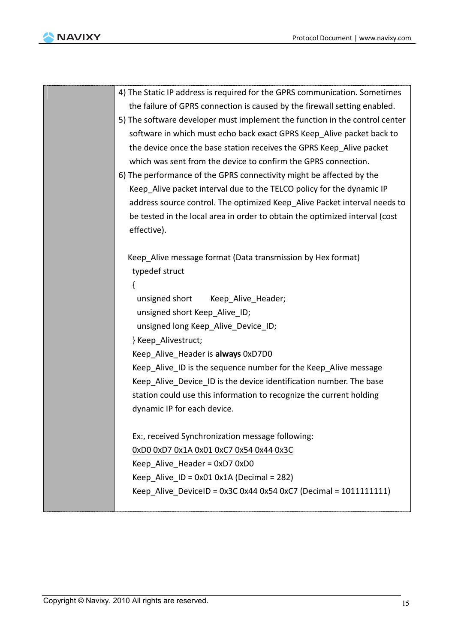

| 4) The Static IP address is required for the GPRS communication. Sometimes  |  |
|-----------------------------------------------------------------------------|--|
| the failure of GPRS connection is caused by the firewall setting enabled.   |  |
| 5) The software developer must implement the function in the control center |  |
| software in which must echo back exact GPRS Keep_Alive packet back to       |  |
| the device once the base station receives the GPRS Keep_Alive packet        |  |
| which was sent from the device to confirm the GPRS connection.              |  |
| 6) The performance of the GPRS connectivity might be affected by the        |  |
| Keep Alive packet interval due to the TELCO policy for the dynamic IP       |  |
| address source control. The optimized Keep_Alive Packet interval needs to   |  |
| be tested in the local area in order to obtain the optimized interval (cost |  |
| effective).                                                                 |  |
|                                                                             |  |
| Keep_Alive message format (Data transmission by Hex format)                 |  |
| typedef struct                                                              |  |
|                                                                             |  |
| unsigned short Keep Alive Header;                                           |  |
| unsigned short Keep_Alive_ID;                                               |  |
| unsigned long Keep_Alive_Device_ID;                                         |  |
| } Keep_Alivestruct;                                                         |  |
| Keep_Alive_Header is always 0xD7D0                                          |  |
| Keep_Alive_ID is the sequence number for the Keep_Alive message             |  |
| Keep_Alive_Device_ID is the device identification number. The base          |  |
| station could use this information to recognize the current holding         |  |
| dynamic IP for each device.                                                 |  |
| Ex:, received Synchronization message following:                            |  |
| 0xD0 0xD7 0x1A 0x01 0xC7 0x54 0x44 0x3C                                     |  |
|                                                                             |  |
| Keep Alive Header = $0xD70xD0$                                              |  |
| Keep Alive ID = $0x010x1A$ (Decimal = 282)                                  |  |
| Keep Alive DeviceID = $0x3C0x440x540xC7$ (Decimal = 10111111111)            |  |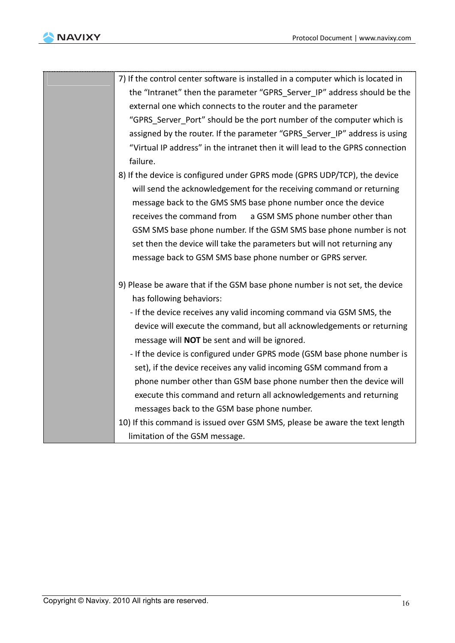

| 7) If the control center software is installed in a computer which is located in |
|----------------------------------------------------------------------------------|
| the "Intranet" then the parameter "GPRS Server IP" address should be the         |
| external one which connects to the router and the parameter                      |
| "GPRS Server Port" should be the port number of the computer which is            |
| assigned by the router. If the parameter "GPRS Server IP" address is using       |
| "Virtual IP address" in the intranet then it will lead to the GPRS connection    |
| failure.                                                                         |
| 8) If the device is configured under GPRS mode (GPRS UDP/TCP), the device        |
| will send the acknowledgement for the receiving command or returning             |
| message back to the GMS SMS base phone number once the device                    |
| receives the command from<br>a GSM SMS phone number other than                   |
| GSM SMS base phone number. If the GSM SMS base phone number is not               |
| set then the device will take the parameters but will not returning any          |
| message back to GSM SMS base phone number or GPRS server.                        |
| 9) Please be aware that if the GSM base phone number is not set, the device      |
| has following behaviors:                                                         |
| - If the device receives any valid incoming command via GSM SMS, the             |
| device will execute the command, but all acknowledgements or returning           |
| message will NOT be sent and will be ignored.                                    |
| - If the device is configured under GPRS mode (GSM base phone number is          |
| set), if the device receives any valid incoming GSM command from a               |
| phone number other than GSM base phone number then the device will               |
| execute this command and return all acknowledgements and returning               |
| messages back to the GSM base phone number.                                      |
| 10) If this command is issued over GSM SMS, please be aware the text length      |
| limitation of the GSM message.                                                   |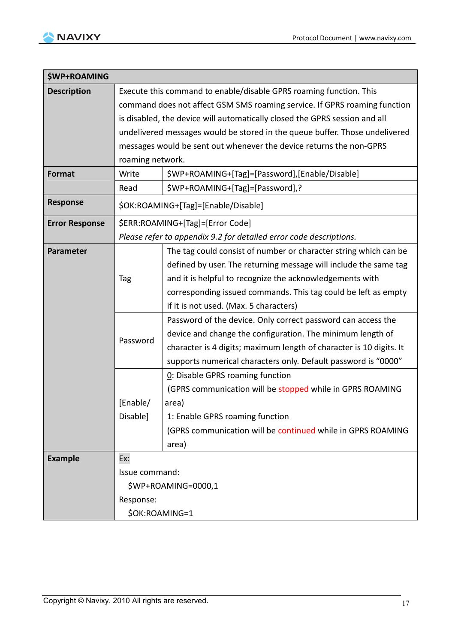

| <b>\$WP+ROAMING</b>   |                                                                             |                                                                     |  |
|-----------------------|-----------------------------------------------------------------------------|---------------------------------------------------------------------|--|
| <b>Description</b>    | Execute this command to enable/disable GPRS roaming function. This          |                                                                     |  |
|                       | command does not affect GSM SMS roaming service. If GPRS roaming function   |                                                                     |  |
|                       | is disabled, the device will automatically closed the GPRS session and all  |                                                                     |  |
|                       | undelivered messages would be stored in the queue buffer. Those undelivered |                                                                     |  |
|                       | messages would be sent out whenever the device returns the non-GPRS         |                                                                     |  |
|                       | roaming network.                                                            |                                                                     |  |
| <b>Format</b>         | Write                                                                       | \$WP+ROAMING+[Tag]=[Password],[Enable/Disable]                      |  |
|                       | Read                                                                        | \$WP+ROAMING+[Tag]=[Password],?                                     |  |
| <b>Response</b>       | \$OK:ROAMING+[Tag]=[Enable/Disable]                                         |                                                                     |  |
| <b>Error Response</b> | \$ERR:ROAMING+[Tag]=[Error Code]                                            |                                                                     |  |
|                       | Please refer to appendix 9.2 for detailed error code descriptions.          |                                                                     |  |
| Parameter             |                                                                             | The tag could consist of number or character string which can be    |  |
|                       |                                                                             | defined by user. The returning message will include the same tag    |  |
|                       | Tag                                                                         | and it is helpful to recognize the acknowledgements with            |  |
|                       |                                                                             | corresponding issued commands. This tag could be left as empty      |  |
|                       |                                                                             | if it is not used. (Max. 5 characters)                              |  |
|                       |                                                                             | Password of the device. Only correct password can access the        |  |
|                       | Password                                                                    | device and change the configuration. The minimum length of          |  |
|                       |                                                                             | character is 4 digits; maximum length of character is 10 digits. It |  |
|                       |                                                                             | supports numerical characters only. Default password is "0000"      |  |
|                       |                                                                             | 0: Disable GPRS roaming function                                    |  |
|                       |                                                                             | (GPRS communication will be stopped while in GPRS ROAMING           |  |
|                       | [Enable/<br>Disable]                                                        | area)                                                               |  |
|                       |                                                                             | 1: Enable GPRS roaming function                                     |  |
|                       |                                                                             | (GPRS communication will be continued while in GPRS ROAMING         |  |
|                       |                                                                             | area)                                                               |  |
| <b>Example</b>        | Ex:                                                                         |                                                                     |  |
|                       | Issue command:                                                              |                                                                     |  |
|                       |                                                                             | \$WP+ROAMING=0000,1                                                 |  |
|                       | Response:                                                                   |                                                                     |  |
|                       | \$OK:ROAMING=1                                                              |                                                                     |  |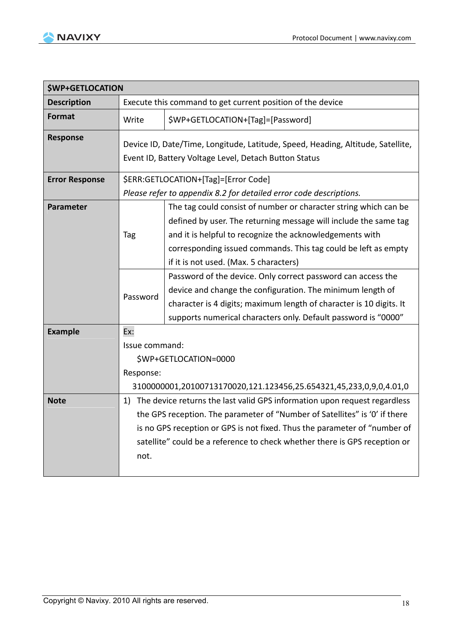

| <b>\$WP+GETLOCATION</b> |                                                                                                                                          |                                                                                                                                                                                                                                                                                                              |  |
|-------------------------|------------------------------------------------------------------------------------------------------------------------------------------|--------------------------------------------------------------------------------------------------------------------------------------------------------------------------------------------------------------------------------------------------------------------------------------------------------------|--|
| <b>Description</b>      | Execute this command to get current position of the device                                                                               |                                                                                                                                                                                                                                                                                                              |  |
| <b>Format</b>           | Write                                                                                                                                    | \$WP+GETLOCATION+[Tag]=[Password]                                                                                                                                                                                                                                                                            |  |
| <b>Response</b>         | Device ID, Date/Time, Longitude, Latitude, Speed, Heading, Altitude, Satellite,<br>Event ID, Battery Voltage Level, Detach Button Status |                                                                                                                                                                                                                                                                                                              |  |
| <b>Error Response</b>   | \$ERR:GETLOCATION+[Tag]=[Error Code]<br>Please refer to appendix 8.2 for detailed error code descriptions.                               |                                                                                                                                                                                                                                                                                                              |  |
| <b>Parameter</b>        | Tag                                                                                                                                      | The tag could consist of number or character string which can be<br>defined by user. The returning message will include the same tag<br>and it is helpful to recognize the acknowledgements with<br>corresponding issued commands. This tag could be left as empty<br>if it is not used. (Max. 5 characters) |  |
|                         | Password                                                                                                                                 | Password of the device. Only correct password can access the<br>device and change the configuration. The minimum length of<br>character is 4 digits; maximum length of character is 10 digits. It<br>supports numerical characters only. Default password is "0000"                                          |  |
| <b>Example</b>          | Ex:                                                                                                                                      |                                                                                                                                                                                                                                                                                                              |  |
|                         | Issue command:                                                                                                                           |                                                                                                                                                                                                                                                                                                              |  |
|                         |                                                                                                                                          | \$WP+GETLOCATION=0000                                                                                                                                                                                                                                                                                        |  |
|                         | Response:                                                                                                                                |                                                                                                                                                                                                                                                                                                              |  |
|                         |                                                                                                                                          | 3100000001,20100713170020,121.123456,25.654321,45,233,0,9,0,4.01,0                                                                                                                                                                                                                                           |  |
| <b>Note</b>             |                                                                                                                                          | 1) The device returns the last valid GPS information upon request regardless<br>the GPS reception. The parameter of "Number of Satellites" is '0' if there                                                                                                                                                   |  |
|                         |                                                                                                                                          | is no GPS reception or GPS is not fixed. Thus the parameter of "number of                                                                                                                                                                                                                                    |  |
|                         | satellite" could be a reference to check whether there is GPS reception or                                                               |                                                                                                                                                                                                                                                                                                              |  |
|                         | not.                                                                                                                                     |                                                                                                                                                                                                                                                                                                              |  |
|                         |                                                                                                                                          |                                                                                                                                                                                                                                                                                                              |  |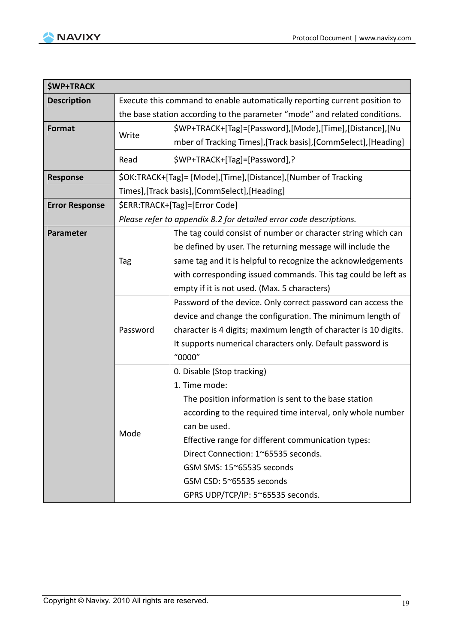$\overline{\phantom{0}}$ 



r

| <b>\$WP+TRACK</b>     |                                                                            |                                                                    |  |
|-----------------------|----------------------------------------------------------------------------|--------------------------------------------------------------------|--|
| <b>Description</b>    | Execute this command to enable automatically reporting current position to |                                                                    |  |
|                       | the base station according to the parameter "mode" and related conditions. |                                                                    |  |
| Format                |                                                                            | \$WP+TRACK+[Tag]=[Password],[Mode],[Time],[Distance],[Nu           |  |
|                       | Write                                                                      | mber of Tracking Times], [Track basis], [CommSelect], [Heading]    |  |
|                       | Read                                                                       | \$WP+TRACK+[Tag]=[Password],?                                      |  |
| <b>Response</b>       |                                                                            | \$OK:TRACK+[Tag]= [Mode],[Time],[Distance],[Number of Tracking     |  |
|                       |                                                                            | Times],[Track basis],[CommSelect],[Heading]                        |  |
| <b>Error Response</b> | \$ERR:TRACK+[Tag]=[Error Code]                                             |                                                                    |  |
|                       |                                                                            | Please refer to appendix 8.2 for detailed error code descriptions. |  |
| Parameter             |                                                                            | The tag could consist of number or character string which can      |  |
|                       |                                                                            | be defined by user. The returning message will include the         |  |
|                       | Tag                                                                        | same tag and it is helpful to recognize the acknowledgements       |  |
|                       |                                                                            | with corresponding issued commands. This tag could be left as      |  |
|                       |                                                                            | empty if it is not used. (Max. 5 characters)                       |  |
|                       | Password                                                                   | Password of the device. Only correct password can access the       |  |
|                       |                                                                            | device and change the configuration. The minimum length of         |  |
|                       |                                                                            | character is 4 digits; maximum length of character is 10 digits.   |  |
|                       |                                                                            | It supports numerical characters only. Default password is         |  |
|                       |                                                                            | "0000"                                                             |  |
|                       |                                                                            | 0. Disable (Stop tracking)                                         |  |
|                       |                                                                            | 1. Time mode:                                                      |  |
|                       |                                                                            | The position information is sent to the base station               |  |
|                       |                                                                            | according to the required time interval, only whole number         |  |
|                       | Mode                                                                       | can be used.                                                       |  |
|                       |                                                                            | Effective range for different communication types:                 |  |
|                       |                                                                            | Direct Connection: 1~65535 seconds.                                |  |
|                       |                                                                            | GSM SMS: 15~65535 seconds                                          |  |
|                       |                                                                            | GSM CSD: 5~65535 seconds                                           |  |
|                       |                                                                            | GPRS UDP/TCP/IP: 5~65535 seconds.                                  |  |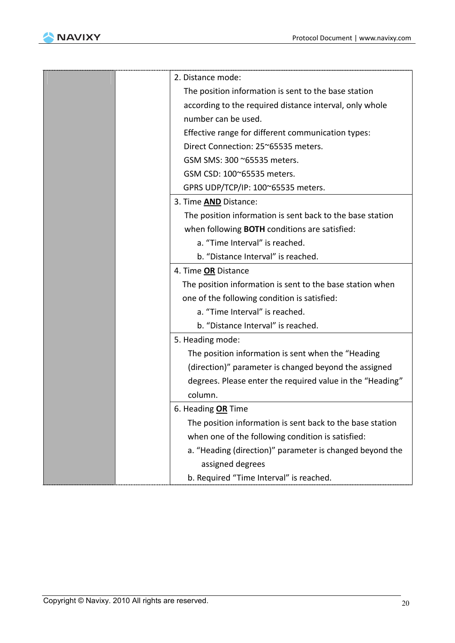

|  | 2. Distance mode:                                         |
|--|-----------------------------------------------------------|
|  | The position information is sent to the base station      |
|  | according to the required distance interval, only whole   |
|  | number can be used.                                       |
|  | Effective range for different communication types:        |
|  | Direct Connection: 25~65535 meters.                       |
|  | GSM SMS: 300 ~65535 meters.                               |
|  | GSM CSD: 100~65535 meters.                                |
|  | GPRS UDP/TCP/IP: 100~65535 meters.                        |
|  | 3. Time <b>AND</b> Distance:                              |
|  | The position information is sent back to the base station |
|  | when following <b>BOTH</b> conditions are satisfied:      |
|  | a. "Time Interval" is reached.                            |
|  | b. "Distance Interval" is reached.                        |
|  | 4. Time OR Distance                                       |
|  | The position information is sent to the base station when |
|  | one of the following condition is satisfied:              |
|  | a. "Time Interval" is reached.                            |
|  | b. "Distance Interval" is reached.                        |
|  | 5. Heading mode:                                          |
|  | The position information is sent when the "Heading        |
|  | (direction)" parameter is changed beyond the assigned     |
|  | degrees. Please enter the required value in the "Heading" |
|  | column.                                                   |
|  | 6. Heading OR Time                                        |
|  | The position information is sent back to the base station |
|  | when one of the following condition is satisfied:         |
|  | a. "Heading (direction)" parameter is changed beyond the  |
|  | assigned degrees                                          |
|  | b. Required "Time Interval" is reached.                   |
|  |                                                           |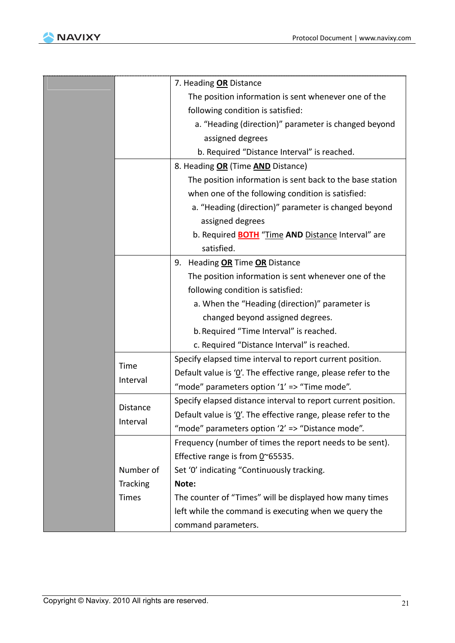

|              | 7. Heading OR Distance                                         |
|--------------|----------------------------------------------------------------|
|              | The position information is sent whenever one of the           |
|              | following condition is satisfied:                              |
|              | a. "Heading (direction)" parameter is changed beyond           |
|              | assigned degrees                                               |
|              | b. Required "Distance Interval" is reached.                    |
|              | 8. Heading OR (Time AND Distance)                              |
|              | The position information is sent back to the base station      |
|              | when one of the following condition is satisfied:              |
|              | a. "Heading (direction)" parameter is changed beyond           |
|              | assigned degrees                                               |
|              | b. Required <b>BOTH</b> "Time AND Distance Interval" are       |
|              | satisfied.                                                     |
|              | 9. Heading OR Time OR Distance                                 |
|              | The position information is sent whenever one of the           |
|              | following condition is satisfied:                              |
|              | a. When the "Heading (direction)" parameter is                 |
|              | changed beyond assigned degrees.                               |
|              | b. Required "Time Interval" is reached.                        |
|              | c. Required "Distance Interval" is reached.                    |
|              | Specify elapsed time interval to report current position.      |
| Time         | Default value is '0'. The effective range, please refer to the |
| Interval     | "mode" parameters option '1' => "Time mode".                   |
| Distance     | Specify elapsed distance interval to report current position.  |
|              | Default value is '0'. The effective range, please refer to the |
| Interval     | "mode" parameters option '2' => "Distance mode".               |
|              | Frequency (number of times the report needs to be sent).       |
|              | Effective range is from $0^{\circ}$ 65535.                     |
| Number of    | Set '0' indicating "Continuously tracking.                     |
| Tracking     | Note:                                                          |
| <b>Times</b> | The counter of "Times" will be displayed how many times        |
|              | left while the command is executing when we query the          |
|              | command parameters.                                            |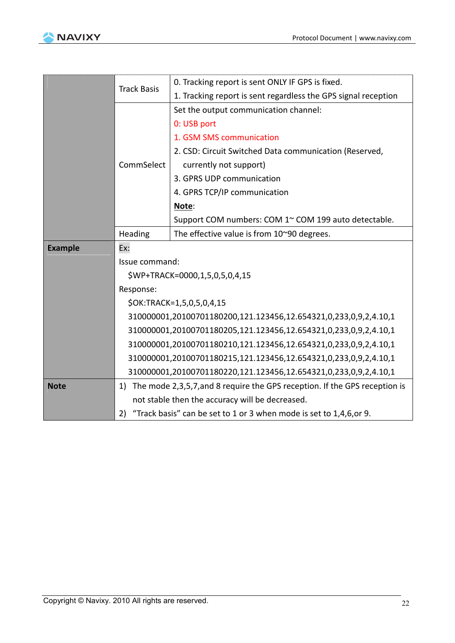

. . . . . . . .



|                | <b>Track Basis</b>                                                                                                                   | 0. Tracking report is sent ONLY IF GPS is fixed.                           |  |
|----------------|--------------------------------------------------------------------------------------------------------------------------------------|----------------------------------------------------------------------------|--|
|                |                                                                                                                                      | 1. Tracking report is sent regardless the GPS signal reception             |  |
|                |                                                                                                                                      | Set the output communication channel:                                      |  |
|                |                                                                                                                                      | 0: USB port                                                                |  |
|                |                                                                                                                                      | 1. GSM SMS communication                                                   |  |
|                |                                                                                                                                      | 2. CSD: Circuit Switched Data communication (Reserved,                     |  |
|                | CommSelect                                                                                                                           | currently not support)                                                     |  |
|                |                                                                                                                                      | 3. GPRS UDP communication                                                  |  |
|                |                                                                                                                                      | 4. GPRS TCP/IP communication                                               |  |
|                |                                                                                                                                      | Note:                                                                      |  |
|                |                                                                                                                                      | Support COM numbers: COM 1~ COM 199 auto detectable.                       |  |
|                | Heading                                                                                                                              | The effective value is from 10~90 degrees.                                 |  |
| <b>Example</b> | Ex:                                                                                                                                  |                                                                            |  |
|                | Issue command:                                                                                                                       |                                                                            |  |
|                | \$WP+TRACK=0000,1,5,0,5,0,4,15                                                                                                       |                                                                            |  |
|                | Response:                                                                                                                            |                                                                            |  |
|                | \$OK:TRACK=1,5,0,5,0,4,15                                                                                                            |                                                                            |  |
|                | 310000001,20100701180200,121.123456,12.654321,0,233,0,9,2,4.10,1                                                                     |                                                                            |  |
|                | 310000001,20100701180205,121.123456,12.654321,0,233,0,9,2,4.10,1<br>310000001,20100701180210,121.123456,12.654321,0,233,0,9,2,4.10,1 |                                                                            |  |
|                |                                                                                                                                      |                                                                            |  |
|                |                                                                                                                                      | 310000001,20100701180215,121.123456,12.654321,0,233,0,9,2,4.10,1           |  |
|                |                                                                                                                                      | 310000001,20100701180220,121.123456,12.654321,0,233,0,9,2,4.10,1           |  |
| <b>Note</b>    | 1)                                                                                                                                   | The mode 2,3,5,7, and 8 require the GPS reception. If the GPS reception is |  |
|                |                                                                                                                                      | not stable then the accuracy will be decreased.                            |  |
|                | "Track basis" can be set to 1 or 3 when mode is set to 1,4,6,or 9.<br>2)                                                             |                                                                            |  |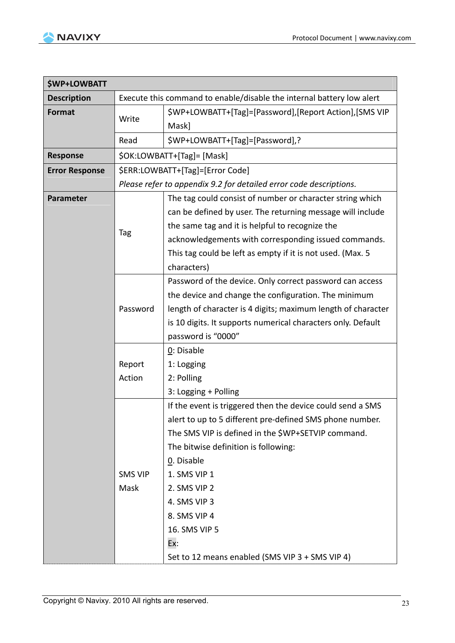

| \$WP+LOWBATT          |                                                                       |                                                                    |
|-----------------------|-----------------------------------------------------------------------|--------------------------------------------------------------------|
| <b>Description</b>    | Execute this command to enable/disable the internal battery low alert |                                                                    |
| <b>Format</b>         | Write                                                                 | \$WP+LOWBATT+[Tag]=[Password],[Report Action],[SMS VIP             |
|                       |                                                                       | Mask]                                                              |
|                       | Read                                                                  | \$WP+LOWBATT+[Tag]=[Password],?                                    |
| <b>Response</b>       |                                                                       | \$OK:LOWBATT+[Tag]= [Mask]                                         |
| <b>Error Response</b> |                                                                       | \$ERR:LOWBATT+[Tag]=[Error Code]                                   |
|                       |                                                                       | Please refer to appendix 9.2 for detailed error code descriptions. |
| <b>Parameter</b>      |                                                                       | The tag could consist of number or character string which          |
|                       |                                                                       | can be defined by user. The returning message will include         |
|                       |                                                                       | the same tag and it is helpful to recognize the                    |
|                       | Tag                                                                   | acknowledgements with corresponding issued commands.               |
|                       |                                                                       | This tag could be left as empty if it is not used. (Max. 5         |
|                       |                                                                       | characters)                                                        |
|                       |                                                                       | Password of the device. Only correct password can access           |
|                       |                                                                       | the device and change the configuration. The minimum               |
|                       | Password                                                              | length of character is 4 digits; maximum length of character       |
|                       |                                                                       | is 10 digits. It supports numerical characters only. Default       |
|                       |                                                                       | password is "0000"                                                 |
|                       |                                                                       | 0: Disable                                                         |
|                       | Report                                                                | 1: Logging                                                         |
|                       | Action                                                                | 2: Polling                                                         |
|                       |                                                                       | 3: Logging + Polling                                               |
|                       |                                                                       | If the event is triggered then the device could send a SMS         |
|                       |                                                                       | alert to up to 5 different pre-defined SMS phone number.           |
|                       |                                                                       | The SMS VIP is defined in the \$WP+SETVIP command.                 |
|                       |                                                                       | The bitwise definition is following:                               |
|                       |                                                                       | 0. Disable                                                         |
|                       | <b>SMS VIP</b>                                                        | 1. SMS VIP 1                                                       |
|                       | Mask                                                                  | 2. SMS VIP 2                                                       |
|                       |                                                                       | 4. SMS VIP 3                                                       |
|                       |                                                                       | 8. SMS VIP 4                                                       |
|                       |                                                                       | 16. SMS VIP 5                                                      |
|                       |                                                                       | Ex:                                                                |
|                       |                                                                       | Set to 12 means enabled (SMS VIP 3 + SMS VIP 4)                    |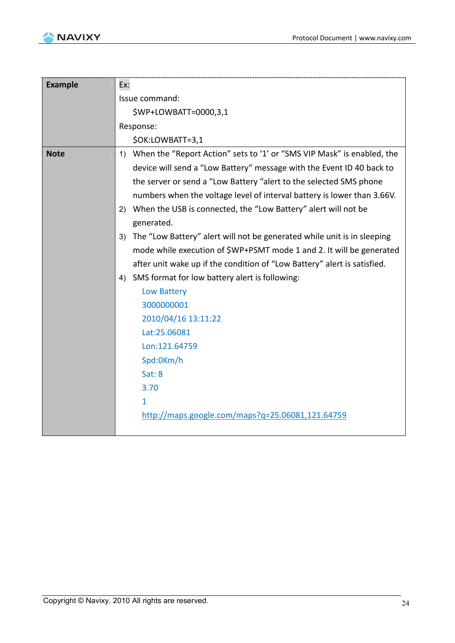

| <b>Example</b> | Ex:                                                                           |  |  |
|----------------|-------------------------------------------------------------------------------|--|--|
|                | Issue command:                                                                |  |  |
|                | \$WP+LOWBATT=0000,3,1                                                         |  |  |
|                | Response:                                                                     |  |  |
|                | \$OK:LOWBATT=3,1                                                              |  |  |
| <b>Note</b>    | When the "Report Action" sets to '1' or "SMS VIP Mask" is enabled, the<br>1)  |  |  |
|                | device will send a "Low Battery" message with the Event ID 40 back to         |  |  |
|                | the server or send a "Low Battery "alert to the selected SMS phone            |  |  |
|                | numbers when the voltage level of interval battery is lower than 3.66V.       |  |  |
|                | When the USB is connected, the "Low Battery" alert will not be<br>2)          |  |  |
|                | generated.                                                                    |  |  |
|                | The "Low Battery" alert will not be generated while unit is in sleeping<br>3) |  |  |
|                | mode while execution of \$WP+PSMT mode 1 and 2. It will be generated          |  |  |
|                | after unit wake up if the condition of "Low Battery" alert is satisfied.      |  |  |
|                | SMS format for low battery alert is following:<br>4)                          |  |  |
|                | Low Battery                                                                   |  |  |
|                | 3000000001                                                                    |  |  |
|                | 2010/04/16 13:11:22                                                           |  |  |
|                | Lat:25.06081                                                                  |  |  |
|                | Lon:121.64759                                                                 |  |  |
|                | Spd:0Km/h                                                                     |  |  |
|                | Sat:8                                                                         |  |  |
|                | 3.70                                                                          |  |  |
|                | $\mathbf{1}$                                                                  |  |  |
|                | http://maps.google.com/maps?q=25.06081,121.64759                              |  |  |
|                |                                                                               |  |  |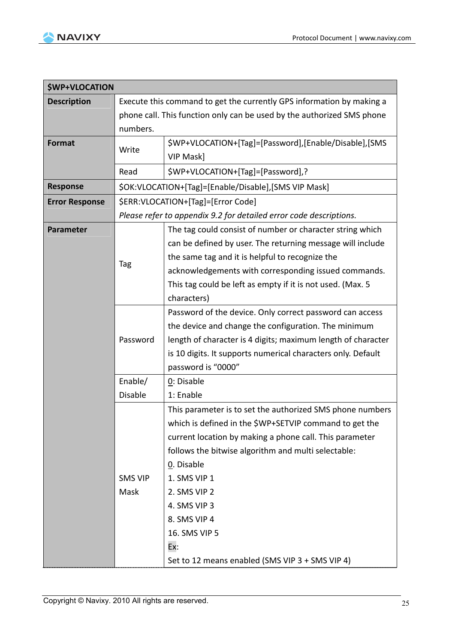

| <b>\$WP+VLOCATION</b> |                                                                       |                                                                        |
|-----------------------|-----------------------------------------------------------------------|------------------------------------------------------------------------|
| <b>Description</b>    | Execute this command to get the currently GPS information by making a |                                                                        |
|                       |                                                                       | phone call. This function only can be used by the authorized SMS phone |
|                       | numbers.                                                              |                                                                        |
| <b>Format</b>         | Write                                                                 | \$WP+VLOCATION+[Tag]=[Password],[Enable/Disable],[SMS                  |
|                       |                                                                       | VIP Mask]                                                              |
|                       | Read                                                                  | \$WP+VLOCATION+[Tag]=[Password],?                                      |
| <b>Response</b>       | \$OK:VLOCATION+[Tag]=[Enable/Disable],[SMS VIP Mask]                  |                                                                        |
| <b>Error Response</b> | \$ERR:VLOCATION+[Tag]=[Error Code]                                    |                                                                        |
|                       | Please refer to appendix 9.2 for detailed error code descriptions.    |                                                                        |
| <b>Parameter</b>      |                                                                       | The tag could consist of number or character string which              |
|                       |                                                                       | can be defined by user. The returning message will include             |
|                       |                                                                       | the same tag and it is helpful to recognize the                        |
|                       | Tag                                                                   | acknowledgements with corresponding issued commands.                   |
|                       |                                                                       | This tag could be left as empty if it is not used. (Max. 5             |
|                       |                                                                       | characters)                                                            |
|                       |                                                                       | Password of the device. Only correct password can access               |
|                       |                                                                       | the device and change the configuration. The minimum                   |
|                       | Password                                                              | length of character is 4 digits; maximum length of character           |
|                       |                                                                       | is 10 digits. It supports numerical characters only. Default           |
|                       |                                                                       | password is "0000"                                                     |
|                       | Enable/                                                               | 0: Disable                                                             |
|                       | <b>Disable</b>                                                        | 1: Enable                                                              |
|                       |                                                                       | This parameter is to set the authorized SMS phone numbers              |
|                       |                                                                       | which is defined in the \$WP+SETVIP command to get the                 |
|                       |                                                                       | current location by making a phone call. This parameter                |
|                       |                                                                       | follows the bitwise algorithm and multi selectable:                    |
|                       |                                                                       | 0. Disable                                                             |
|                       | <b>SMS VIP</b>                                                        | 1. SMS VIP 1                                                           |
|                       | Mask                                                                  | 2. SMS VIP 2                                                           |
|                       |                                                                       | 4. SMS VIP 3                                                           |
|                       |                                                                       | 8. SMS VIP 4                                                           |
|                       |                                                                       | 16. SMS VIP 5                                                          |
|                       |                                                                       | Ex:                                                                    |
|                       |                                                                       | Set to 12 means enabled (SMS VIP 3 + SMS VIP 4)                        |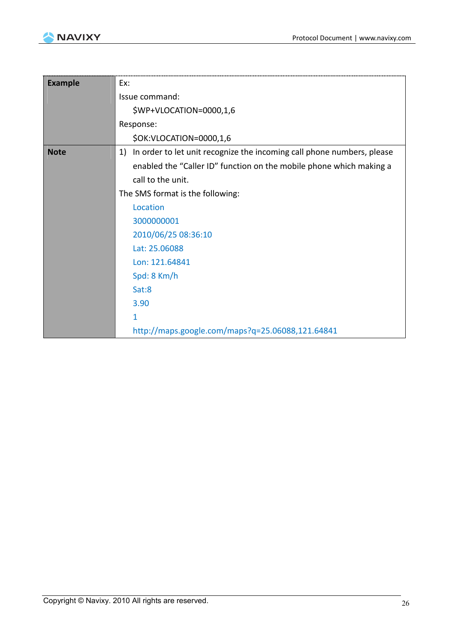

| <b>Example</b> | Ex:                                                                          |
|----------------|------------------------------------------------------------------------------|
|                | Issue command:                                                               |
|                | \$WP+VLOCATION=0000,1,6                                                      |
|                | Response:                                                                    |
|                | \$OK:VLOCATION=0000,1,6                                                      |
| <b>Note</b>    | In order to let unit recognize the incoming call phone numbers, please<br>1) |
|                | enabled the "Caller ID" function on the mobile phone which making a          |
|                | call to the unit.                                                            |
|                | The SMS format is the following:                                             |
|                | Location                                                                     |
|                | 3000000001                                                                   |
|                | 2010/06/25 08:36:10                                                          |
|                | Lat: 25.06088                                                                |
|                | Lon: 121.64841                                                               |
|                | Spd: 8 Km/h                                                                  |
|                | Sat:8                                                                        |
|                | 3.90                                                                         |
|                | 1                                                                            |
|                | http://maps.google.com/maps?q=25.06088,121.64841                             |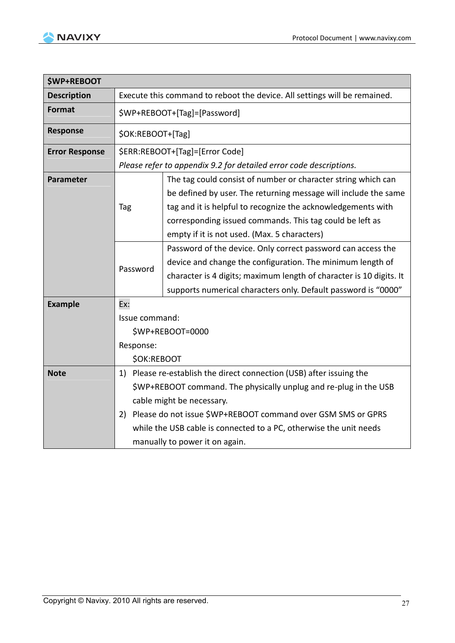

| <b>\$WP+REBOOT</b>    |                                                                                                                                                                                                                                                                                                                     |  |  |
|-----------------------|---------------------------------------------------------------------------------------------------------------------------------------------------------------------------------------------------------------------------------------------------------------------------------------------------------------------|--|--|
| <b>Description</b>    | Execute this command to reboot the device. All settings will be remained.                                                                                                                                                                                                                                           |  |  |
| <b>Format</b>         | \$WP+REBOOT+[Tag]=[Password]                                                                                                                                                                                                                                                                                        |  |  |
| <b>Response</b>       | \$OK:REBOOT+[Tag]                                                                                                                                                                                                                                                                                                   |  |  |
| <b>Error Response</b> | \$ERR:REBOOT+[Tag]=[Error Code]                                                                                                                                                                                                                                                                                     |  |  |
|                       | Please refer to appendix 9.2 for detailed error code descriptions.                                                                                                                                                                                                                                                  |  |  |
| Parameter             | The tag could consist of number or character string which can<br>be defined by user. The returning message will include the same<br>tag and it is helpful to recognize the acknowledgements with<br>Tag<br>corresponding issued commands. This tag could be left as<br>empty if it is not used. (Max. 5 characters) |  |  |
|                       | Password of the device. Only correct password can access the<br>device and change the configuration. The minimum length of<br>Password<br>character is 4 digits; maximum length of character is 10 digits. It<br>supports numerical characters only. Default password is "0000"                                     |  |  |
| <b>Example</b>        | Ex:                                                                                                                                                                                                                                                                                                                 |  |  |
|                       | Issue command:                                                                                                                                                                                                                                                                                                      |  |  |
|                       | \$WP+REBOOT=0000                                                                                                                                                                                                                                                                                                    |  |  |
|                       | Response:                                                                                                                                                                                                                                                                                                           |  |  |
|                       | <b>\$OK:REBOOT</b>                                                                                                                                                                                                                                                                                                  |  |  |
| <b>Note</b>           | 1) Please re-establish the direct connection (USB) after issuing the                                                                                                                                                                                                                                                |  |  |
|                       | \$WP+REBOOT command. The physically unplug and re-plug in the USB                                                                                                                                                                                                                                                   |  |  |
|                       | cable might be necessary.                                                                                                                                                                                                                                                                                           |  |  |
|                       | 2) Please do not issue \$WP+REBOOT command over GSM SMS or GPRS                                                                                                                                                                                                                                                     |  |  |
|                       | while the USB cable is connected to a PC, otherwise the unit needs                                                                                                                                                                                                                                                  |  |  |
|                       | manually to power it on again.                                                                                                                                                                                                                                                                                      |  |  |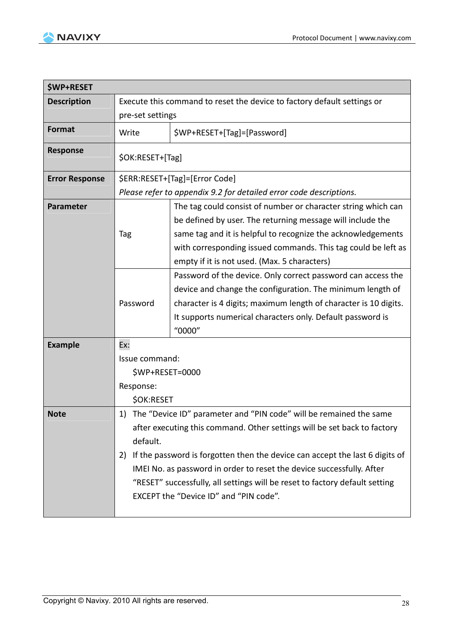

| <b><i>SWP+RESET</i></b> |                                                                         |                                                                              |
|-------------------------|-------------------------------------------------------------------------|------------------------------------------------------------------------------|
| <b>Description</b>      | Execute this command to reset the device to factory default settings or |                                                                              |
|                         | pre-set settings                                                        |                                                                              |
| <b>Format</b>           | Write                                                                   | \$WP+RESET+[Tag]=[Password]                                                  |
| <b>Response</b>         | \$OK:RESET+[Tag]                                                        |                                                                              |
| <b>Error Response</b>   |                                                                         | \$ERR:RESET+[Tag]=[Error Code]                                               |
|                         | Please refer to appendix 9.2 for detailed error code descriptions.      |                                                                              |
| Parameter               |                                                                         | The tag could consist of number or character string which can                |
|                         |                                                                         | be defined by user. The returning message will include the                   |
|                         | Tag                                                                     | same tag and it is helpful to recognize the acknowledgements                 |
|                         |                                                                         | with corresponding issued commands. This tag could be left as                |
|                         |                                                                         | empty if it is not used. (Max. 5 characters)                                 |
|                         |                                                                         | Password of the device. Only correct password can access the                 |
|                         |                                                                         | device and change the configuration. The minimum length of                   |
|                         | Password                                                                | character is 4 digits; maximum length of character is 10 digits.             |
|                         |                                                                         | It supports numerical characters only. Default password is                   |
|                         |                                                                         | "0000"                                                                       |
| <b>Example</b>          | Ex:                                                                     |                                                                              |
|                         | Issue command:<br>\$WP+RESET=0000<br>Response:                          |                                                                              |
|                         |                                                                         |                                                                              |
|                         |                                                                         |                                                                              |
|                         | <b>\$OK:RESET</b>                                                       |                                                                              |
| <b>Note</b>             | 1)                                                                      | The "Device ID" parameter and "PIN code" will be remained the same           |
|                         |                                                                         | after executing this command. Other settings will be set back to factory     |
|                         | default.                                                                |                                                                              |
|                         | 2)                                                                      | If the password is forgotten then the device can accept the last 6 digits of |
|                         |                                                                         | IMEI No. as password in order to reset the device successfully. After        |
|                         |                                                                         | "RESET" successfully, all settings will be reset to factory default setting  |
|                         |                                                                         | EXCEPT the "Device ID" and "PIN code".                                       |
|                         |                                                                         |                                                                              |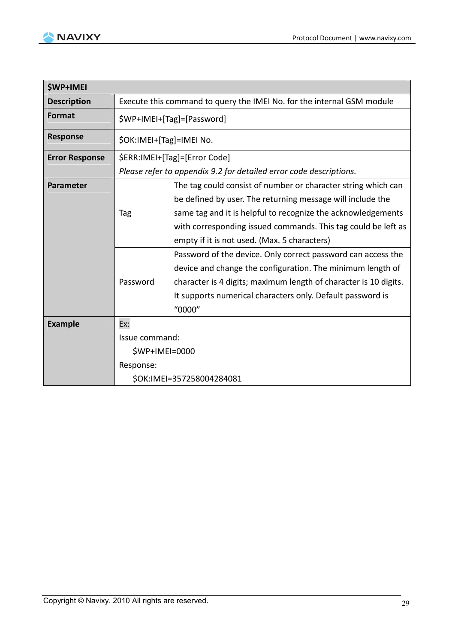

| <b><i>SWP+IMEI</i></b> |                                                                        |                                                                    |
|------------------------|------------------------------------------------------------------------|--------------------------------------------------------------------|
| <b>Description</b>     | Execute this command to query the IMEI No. for the internal GSM module |                                                                    |
| <b>Format</b>          | \$WP+IMEI+[Tag]=[Password]                                             |                                                                    |
| <b>Response</b>        | \$OK:IMEI+[Tag]=IMEI No.                                               |                                                                    |
| <b>Error Response</b>  | \$ERR:IMEI+[Tag]=[Error Code]                                          |                                                                    |
|                        |                                                                        | Please refer to appendix 9.2 for detailed error code descriptions. |
| <b>Parameter</b>       |                                                                        | The tag could consist of number or character string which can      |
|                        |                                                                        | be defined by user. The returning message will include the         |
|                        | Tag                                                                    | same tag and it is helpful to recognize the acknowledgements       |
|                        |                                                                        | with corresponding issued commands. This tag could be left as      |
|                        |                                                                        | empty if it is not used. (Max. 5 characters)                       |
|                        |                                                                        | Password of the device. Only correct password can access the       |
|                        |                                                                        | device and change the configuration. The minimum length of         |
|                        | Password                                                               | character is 4 digits; maximum length of character is 10 digits.   |
|                        |                                                                        | It supports numerical characters only. Default password is         |
|                        |                                                                        | "0000"                                                             |
| <b>Example</b>         | Ex:                                                                    |                                                                    |
|                        | Issue command:                                                         |                                                                    |
|                        | \$WP+IMEI=0000                                                         |                                                                    |
|                        | Response:                                                              |                                                                    |
|                        | \$OK:IMEI=357258004284081                                              |                                                                    |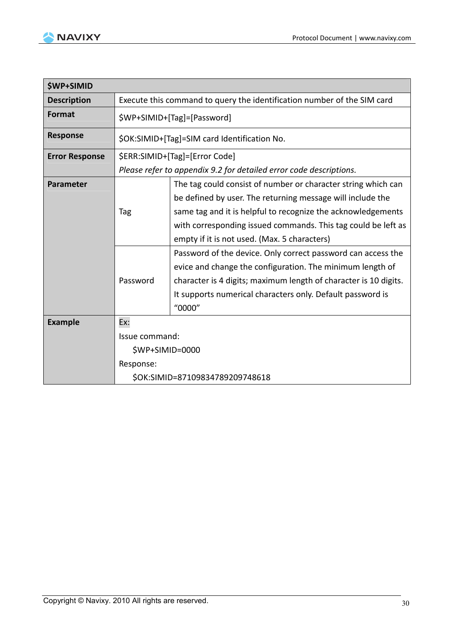

| <b><i>ŚWP+SIMID</i></b> |                                                                         |                                                                    |
|-------------------------|-------------------------------------------------------------------------|--------------------------------------------------------------------|
| <b>Description</b>      | Execute this command to query the identification number of the SIM card |                                                                    |
| <b>Format</b>           | \$WP+SIMID+[Tag]=[Password]                                             |                                                                    |
| <b>Response</b>         |                                                                         | \$OK:SIMID+[Tag]=SIM card Identification No.                       |
| <b>Error Response</b>   | \$ERR:SIMID+[Tag]=[Error Code]                                          |                                                                    |
|                         |                                                                         | Please refer to appendix 9.2 for detailed error code descriptions. |
| <b>Parameter</b>        | The tag could consist of number or character string which can           |                                                                    |
|                         |                                                                         | be defined by user. The returning message will include the         |
|                         | Tag                                                                     | same tag and it is helpful to recognize the acknowledgements       |
|                         |                                                                         | with corresponding issued commands. This tag could be left as      |
|                         |                                                                         | empty if it is not used. (Max. 5 characters)                       |
|                         |                                                                         | Password of the device. Only correct password can access the       |
|                         |                                                                         | evice and change the configuration. The minimum length of          |
|                         | Password                                                                | character is 4 digits; maximum length of character is 10 digits.   |
|                         |                                                                         | It supports numerical characters only. Default password is         |
|                         |                                                                         | "0000"                                                             |
| <b>Example</b>          | Ex:                                                                     |                                                                    |
|                         | Issue command:                                                          |                                                                    |
|                         | $$WP+SIMID=0000$                                                        |                                                                    |
|                         | Response:                                                               |                                                                    |
|                         | \$OK:SIMID=87109834789209748618                                         |                                                                    |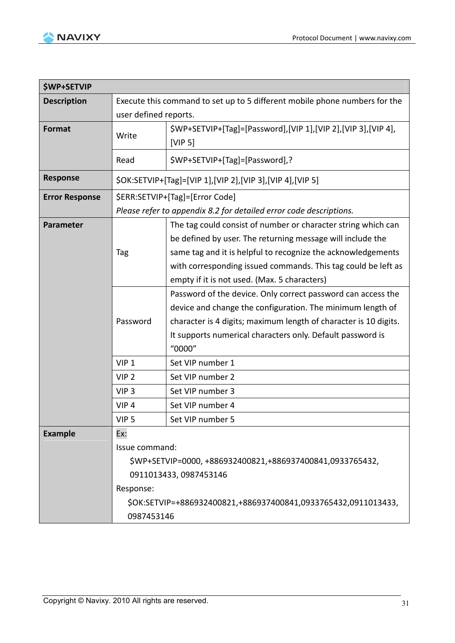

| <b><i>SWP+SETVIP</i></b> |                                                                            |                                                                                                                                                                                                                                                                                                              |  |
|--------------------------|----------------------------------------------------------------------------|--------------------------------------------------------------------------------------------------------------------------------------------------------------------------------------------------------------------------------------------------------------------------------------------------------------|--|
| <b>Description</b>       | Execute this command to set up to 5 different mobile phone numbers for the |                                                                                                                                                                                                                                                                                                              |  |
|                          | user defined reports.                                                      |                                                                                                                                                                                                                                                                                                              |  |
| Format                   | Write                                                                      | \$WP+SETVIP+[Tag]=[Password], [VIP 1], [VIP 2], [VIP 3], [VIP 4],<br>[VIP 5]                                                                                                                                                                                                                                 |  |
|                          | Read                                                                       | \$WP+SETVIP+[Tag]=[Password],?                                                                                                                                                                                                                                                                               |  |
| <b>Response</b>          |                                                                            | \$OK:SETVIP+[Tag]=[VIP 1],[VIP 2],[VIP 3],[VIP 4],[VIP 5]                                                                                                                                                                                                                                                    |  |
| <b>Error Response</b>    |                                                                            | \$ERR:SETVIP+[Tag]=[Error Code]                                                                                                                                                                                                                                                                              |  |
|                          |                                                                            | Please refer to appendix 8.2 for detailed error code descriptions.                                                                                                                                                                                                                                           |  |
| <b>Parameter</b>         | Tag                                                                        | The tag could consist of number or character string which can<br>be defined by user. The returning message will include the<br>same tag and it is helpful to recognize the acknowledgements<br>with corresponding issued commands. This tag could be left as<br>empty if it is not used. (Max. 5 characters) |  |
|                          | Password                                                                   | Password of the device. Only correct password can access the<br>device and change the configuration. The minimum length of<br>character is 4 digits; maximum length of character is 10 digits.<br>It supports numerical characters only. Default password is<br>"0000"                                       |  |
|                          | VIP <sub>1</sub>                                                           | Set VIP number 1                                                                                                                                                                                                                                                                                             |  |
|                          | VIP <sub>2</sub>                                                           | Set VIP number 2                                                                                                                                                                                                                                                                                             |  |
|                          | VIP <sub>3</sub>                                                           | Set VIP number 3                                                                                                                                                                                                                                                                                             |  |
|                          | VIP <sub>4</sub>                                                           | Set VIP number 4                                                                                                                                                                                                                                                                                             |  |
|                          | VIP <sub>5</sub>                                                           | Set VIP number 5                                                                                                                                                                                                                                                                                             |  |
| <b>Example</b>           | Ex:<br>Issue command:<br>Response:<br>0987453146                           | \$WP+SETVIP=0000, +886932400821, +886937400841, 0933765432,<br>0911013433, 0987453146<br>\$OK:SETVIP=+886932400821,+886937400841,0933765432,0911013433,                                                                                                                                                      |  |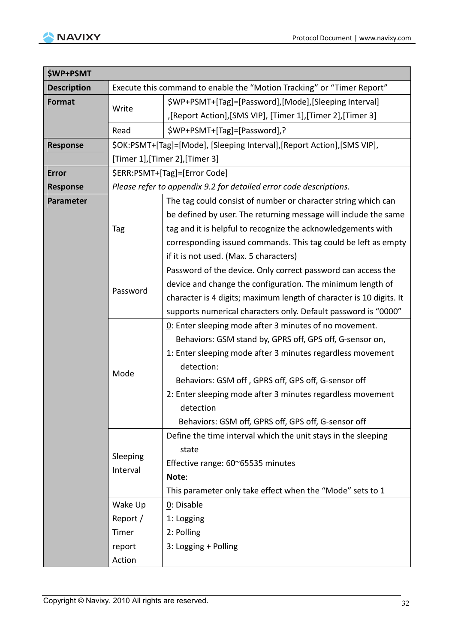

| <b>\$WP+PSMT</b>   |          |                                                                          |  |  |
|--------------------|----------|--------------------------------------------------------------------------|--|--|
| <b>Description</b> |          | Execute this command to enable the "Motion Tracking" or "Timer Report"   |  |  |
| Format             |          | \$WP+PSMT+[Tag]=[Password],[Mode],[Sleeping Interval]                    |  |  |
|                    | Write    | ,[Report Action],[SMS VIP], [Timer 1],[Timer 2],[Timer 3]                |  |  |
|                    | Read     | \$WP+PSMT+[Tag]=[Password],?                                             |  |  |
| Response           |          | \$OK:PSMT+[Tag]=[Mode], [Sleeping Interval], [Report Action], [SMS VIP], |  |  |
|                    |          | [Timer 1],[Timer 2],[Timer 3]                                            |  |  |
| <b>Error</b>       |          | \$ERR:PSMT+[Tag]=[Error Code]                                            |  |  |
| <b>Response</b>    |          | Please refer to appendix 9.2 for detailed error code descriptions.       |  |  |
| Parameter          |          | The tag could consist of number or character string which can            |  |  |
|                    |          | be defined by user. The returning message will include the same          |  |  |
|                    | Tag      | tag and it is helpful to recognize the acknowledgements with             |  |  |
|                    |          | corresponding issued commands. This tag could be left as empty           |  |  |
|                    |          | if it is not used. (Max. 5 characters)                                   |  |  |
|                    |          | Password of the device. Only correct password can access the             |  |  |
|                    | Password | device and change the configuration. The minimum length of               |  |  |
|                    |          | character is 4 digits; maximum length of character is 10 digits. It      |  |  |
|                    |          | supports numerical characters only. Default password is "0000"           |  |  |
|                    |          | 0: Enter sleeping mode after 3 minutes of no movement.                   |  |  |
|                    |          | Behaviors: GSM stand by, GPRS off, GPS off, G-sensor on,                 |  |  |
|                    |          | 1: Enter sleeping mode after 3 minutes regardless movement               |  |  |
|                    | Mode     | detection:                                                               |  |  |
|                    |          | Behaviors: GSM off, GPRS off, GPS off, G-sensor off                      |  |  |
|                    |          | 2: Enter sleeping mode after 3 minutes regardless movement               |  |  |
|                    |          | detection                                                                |  |  |
|                    |          | Behaviors: GSM off, GPRS off, GPS off, G-sensor off                      |  |  |
|                    |          | Define the time interval which the unit stays in the sleeping            |  |  |
|                    | Sleeping | state                                                                    |  |  |
|                    | Interval | Effective range: 60~65535 minutes                                        |  |  |
|                    |          | Note:                                                                    |  |  |
|                    |          | This parameter only take effect when the "Mode" sets to 1                |  |  |
|                    | Wake Up  | 0: Disable                                                               |  |  |
|                    | Report / | 1: Logging                                                               |  |  |
|                    | Timer    | 2: Polling                                                               |  |  |
|                    | report   | 3: Logging + Polling                                                     |  |  |
|                    | Action   |                                                                          |  |  |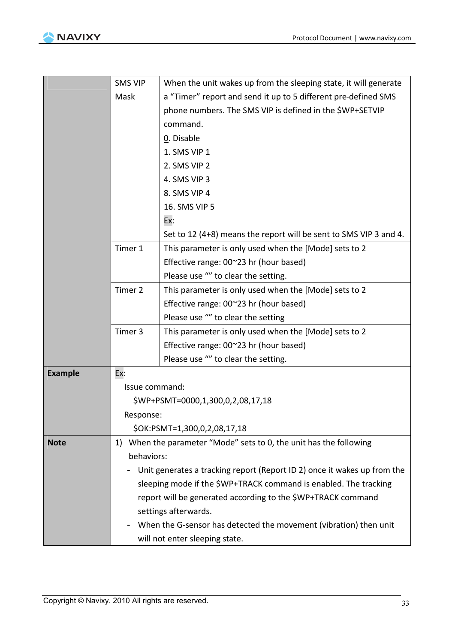|                | <b>SMS VIP</b>                                                        | When the unit wakes up from the sleeping state, it will generate         |  |  |
|----------------|-----------------------------------------------------------------------|--------------------------------------------------------------------------|--|--|
|                | Mask                                                                  | a "Timer" report and send it up to 5 different pre-defined SMS           |  |  |
|                |                                                                       | phone numbers. The SMS VIP is defined in the \$WP+SETVIP                 |  |  |
|                |                                                                       | command.                                                                 |  |  |
|                |                                                                       | 0. Disable                                                               |  |  |
|                |                                                                       | 1. SMS VIP 1                                                             |  |  |
|                |                                                                       | 2. SMS VIP 2                                                             |  |  |
|                |                                                                       | 4. SMS VIP 3                                                             |  |  |
|                |                                                                       | 8. SMS VIP 4                                                             |  |  |
|                |                                                                       | 16. SMS VIP 5                                                            |  |  |
|                |                                                                       | Ex:                                                                      |  |  |
|                |                                                                       | Set to 12 (4+8) means the report will be sent to SMS VIP 3 and 4.        |  |  |
|                | Timer 1                                                               | This parameter is only used when the [Mode] sets to 2                    |  |  |
|                |                                                                       | Effective range: 00~23 hr (hour based)                                   |  |  |
|                |                                                                       | Please use "" to clear the setting.                                      |  |  |
|                | Timer 2                                                               | This parameter is only used when the [Mode] sets to 2                    |  |  |
|                |                                                                       | Effective range: 00~23 hr (hour based)                                   |  |  |
|                |                                                                       | Please use "" to clear the setting                                       |  |  |
|                | Timer 3                                                               | This parameter is only used when the [Mode] sets to 2                    |  |  |
|                |                                                                       | Effective range: 00~23 hr (hour based)                                   |  |  |
|                |                                                                       | Please use "" to clear the setting.                                      |  |  |
| <b>Example</b> | Ex:                                                                   |                                                                          |  |  |
|                | Issue command:                                                        |                                                                          |  |  |
|                |                                                                       | \$WP+PSMT=0000,1,300,0,2,08,17,18                                        |  |  |
|                | Response:                                                             |                                                                          |  |  |
|                |                                                                       | \$OK:PSMT=1,300,0,2,08,17,18                                             |  |  |
| <b>Note</b>    | When the parameter "Mode" sets to 0, the unit has the following<br>1) |                                                                          |  |  |
|                | behaviors:                                                            |                                                                          |  |  |
|                |                                                                       | Unit generates a tracking report (Report ID 2) once it wakes up from the |  |  |
|                |                                                                       | sleeping mode if the \$WP+TRACK command is enabled. The tracking         |  |  |
|                |                                                                       | report will be generated according to the \$WP+TRACK command             |  |  |
|                |                                                                       | settings afterwards.                                                     |  |  |
|                |                                                                       | When the G-sensor has detected the movement (vibration) then unit        |  |  |
|                | will not enter sleeping state.                                        |                                                                          |  |  |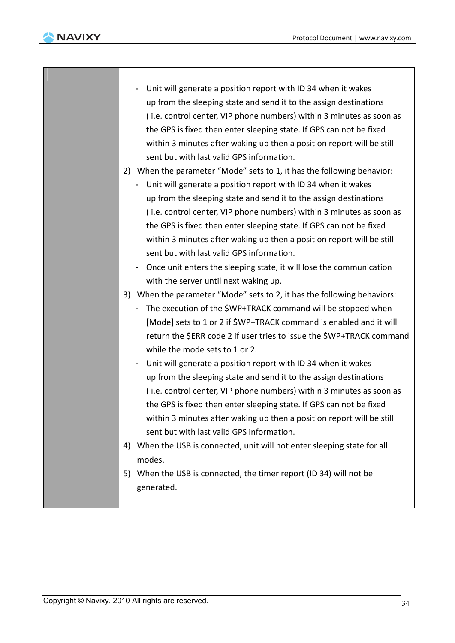

- Unit will generate a position report with ID 34 when it wakes up from the sleeping state and send it to the assign destinations ( i.e. control center, VIP phone numbers) within 3 minutes as soon as the GPS is fixed then enter sleeping state. If GPS can not be fixed within 3 minutes after waking up then a position report will be still sent but with last valid GPS information. 2) When the parameter "Mode" sets to 1, it has the following behavior: - Unit will generate a position report with ID 34 when it wakes up from the sleeping state and send it to the assign destinations ( i.e. control center, VIP phone numbers) within 3 minutes as soon as the GPS is fixed then enter sleeping state. If GPS can not be fixed within 3 minutes after waking up then a position report will be still sent but with last valid GPS information. - Once unit enters the sleeping state, it will lose the communication with the server until next waking up. 3) When the parameter "Mode" sets to 2, it has the following behaviors: - The execution of the \$WP+TRACK command will be stopped when [Mode] sets to 1 or 2 if \$WP+TRACK command is enabled and it will
	- return the \$ERR code 2 if user tries to issue the \$WP+TRACK command while the mode sets to 1 or 2.
	- Unit will generate a position report with ID 34 when it wakes up from the sleeping state and send it to the assign destinations ( i.e. control center, VIP phone numbers) within 3 minutes as soon as the GPS is fixed then enter sleeping state. If GPS can not be fixed within 3 minutes after waking up then a position report will be still sent but with last valid GPS information.
	- 4) When the USB is connected, unit will not enter sleeping state for all modes.
	- 5) When the USB is connected, the timer report (ID 34) will not be generated.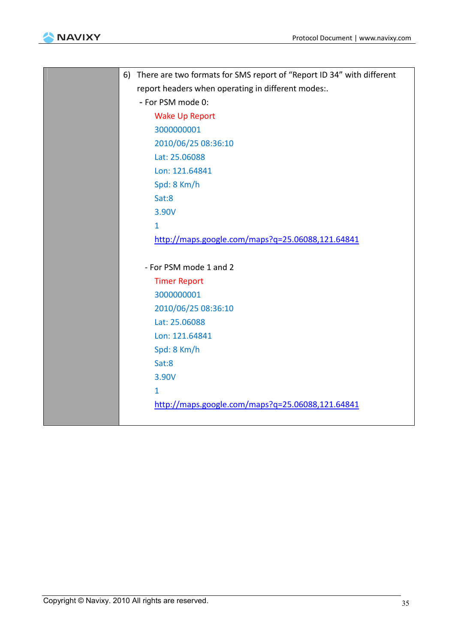



| There are two formats for SMS report of "Report ID 34" with different<br>6) |
|-----------------------------------------------------------------------------|
| report headers when operating in different modes:.                          |
| - For PSM mode 0:                                                           |
| <b>Wake Up Report</b>                                                       |
| 3000000001                                                                  |
| 2010/06/25 08:36:10                                                         |
| Lat: 25.06088                                                               |
| Lon: 121.64841                                                              |
| Spd: 8 Km/h                                                                 |
| Sat:8                                                                       |
| 3.90V                                                                       |
| $\mathbf{1}$                                                                |
| http://maps.google.com/maps?q=25.06088,121.64841                            |
|                                                                             |
| - For PSM mode 1 and 2                                                      |
| <b>Timer Report</b>                                                         |
| 3000000001                                                                  |
| 2010/06/25 08:36:10                                                         |
| Lat: 25.06088                                                               |
| Lon: 121.64841                                                              |
| Spd: 8 Km/h                                                                 |
| Sat:8                                                                       |
| 3.90V                                                                       |
| $\mathbf{1}$                                                                |
| http://maps.google.com/maps?q=25.06088,121.64841                            |
|                                                                             |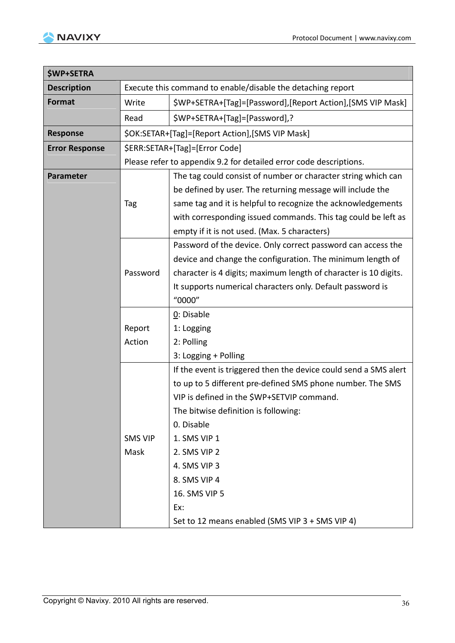

| <b>\$WP+SETRA</b>     |                |                                                                    |
|-----------------------|----------------|--------------------------------------------------------------------|
| <b>Description</b>    |                | Execute this command to enable/disable the detaching report        |
| <b>Format</b>         | Write          | \$WP+SETRA+[Tag]=[Password],[Report Action],[SMS VIP Mask]         |
|                       | Read           | \$WP+SETRA+[Tag]=[Password],?                                      |
| <b>Response</b>       |                | \$OK:SETAR+[Tag]=[Report Action],[SMS VIP Mask]                    |
| <b>Error Response</b> |                | \$ERR:SETAR+[Tag]=[Error Code]                                     |
|                       |                | Please refer to appendix 9.2 for detailed error code descriptions. |
| <b>Parameter</b>      |                | The tag could consist of number or character string which can      |
|                       |                | be defined by user. The returning message will include the         |
|                       | Tag            | same tag and it is helpful to recognize the acknowledgements       |
|                       |                | with corresponding issued commands. This tag could be left as      |
|                       |                | empty if it is not used. (Max. 5 characters)                       |
|                       |                | Password of the device. Only correct password can access the       |
|                       |                | device and change the configuration. The minimum length of         |
| Password              |                | character is 4 digits; maximum length of character is 10 digits.   |
|                       |                | It supports numerical characters only. Default password is         |
|                       |                | "0000"                                                             |
|                       |                | 0: Disable                                                         |
|                       | Report         | 1: Logging                                                         |
|                       | Action         | 2: Polling                                                         |
|                       |                | 3: Logging + Polling                                               |
|                       |                | If the event is triggered then the device could send a SMS alert   |
|                       |                | to up to 5 different pre-defined SMS phone number. The SMS         |
|                       |                | VIP is defined in the \$WP+SETVIP command.                         |
|                       |                | The bitwise definition is following:                               |
|                       |                | 0. Disable                                                         |
|                       | <b>SMS VIP</b> | 1. SMS VIP 1                                                       |
|                       | Mask           | 2. SMS VIP 2                                                       |
|                       |                | 4. SMS VIP 3                                                       |
|                       |                | 8. SMS VIP 4                                                       |
|                       |                | 16. SMS VIP 5                                                      |
|                       |                | Ex:                                                                |
|                       |                | Set to 12 means enabled (SMS VIP 3 + SMS VIP 4)                    |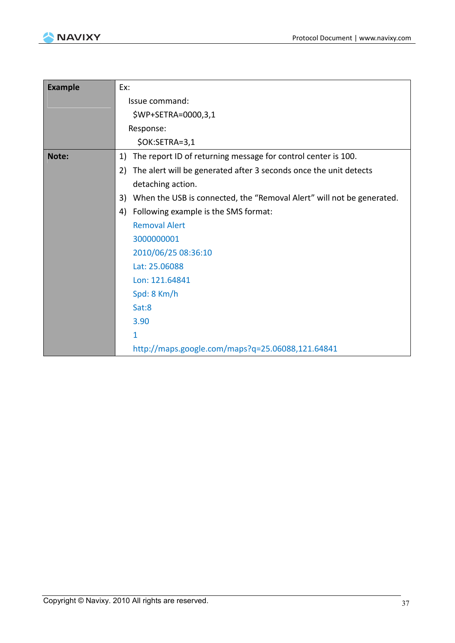

| <b>Example</b> | Ex:                                                                         |  |  |
|----------------|-----------------------------------------------------------------------------|--|--|
|                | Issue command:                                                              |  |  |
|                | \$WP+SETRA=0000,3,1                                                         |  |  |
|                | Response:                                                                   |  |  |
|                | \$OK:SETRA=3,1                                                              |  |  |
| Note:          | The report ID of returning message for control center is 100.<br>1)         |  |  |
|                | The alert will be generated after 3 seconds once the unit detects<br>2)     |  |  |
|                | detaching action.                                                           |  |  |
|                | When the USB is connected, the "Removal Alert" will not be generated.<br>3) |  |  |
|                | Following example is the SMS format:<br>4)                                  |  |  |
|                | <b>Removal Alert</b>                                                        |  |  |
|                | 3000000001                                                                  |  |  |
|                | 2010/06/25 08:36:10                                                         |  |  |
|                | Lat: 25.06088                                                               |  |  |
|                | Lon: 121.64841                                                              |  |  |
|                | Spd: 8 Km/h                                                                 |  |  |
|                | Sat:8                                                                       |  |  |
|                | 3.90                                                                        |  |  |
|                | 1                                                                           |  |  |
|                | http://maps.google.com/maps?q=25.06088,121.64841                            |  |  |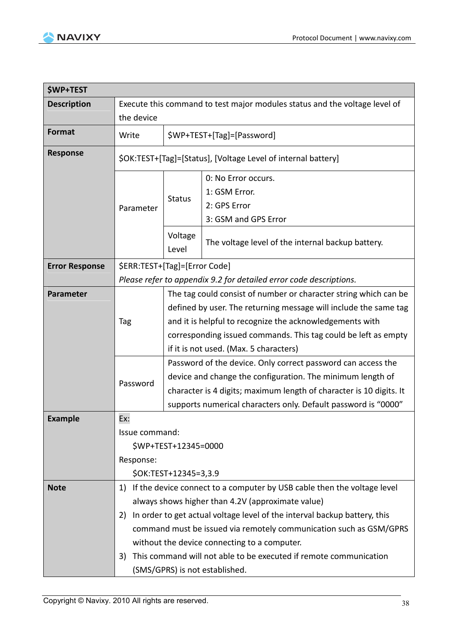

| <b>\$WP+TEST</b>      |                                                                                                                                                                                                                                                                                                                                                                                                                                                       |                                                                                                                                                                                                                                                                                                              |                                                                                                                                                                                                                                                                     |  |
|-----------------------|-------------------------------------------------------------------------------------------------------------------------------------------------------------------------------------------------------------------------------------------------------------------------------------------------------------------------------------------------------------------------------------------------------------------------------------------------------|--------------------------------------------------------------------------------------------------------------------------------------------------------------------------------------------------------------------------------------------------------------------------------------------------------------|---------------------------------------------------------------------------------------------------------------------------------------------------------------------------------------------------------------------------------------------------------------------|--|
| <b>Description</b>    | Execute this command to test major modules status and the voltage level of<br>the device                                                                                                                                                                                                                                                                                                                                                              |                                                                                                                                                                                                                                                                                                              |                                                                                                                                                                                                                                                                     |  |
|                       |                                                                                                                                                                                                                                                                                                                                                                                                                                                       |                                                                                                                                                                                                                                                                                                              |                                                                                                                                                                                                                                                                     |  |
| <b>Format</b>         | Write                                                                                                                                                                                                                                                                                                                                                                                                                                                 |                                                                                                                                                                                                                                                                                                              | \$WP+TEST+[Tag]=[Password]                                                                                                                                                                                                                                          |  |
| <b>Response</b>       |                                                                                                                                                                                                                                                                                                                                                                                                                                                       | \$OK:TEST+[Tag]=[Status], [Voltage Level of internal battery]                                                                                                                                                                                                                                                |                                                                                                                                                                                                                                                                     |  |
|                       | Parameter                                                                                                                                                                                                                                                                                                                                                                                                                                             | <b>Status</b>                                                                                                                                                                                                                                                                                                | 0: No Error occurs.<br>1: GSM Error.<br>2: GPS Error<br>3: GSM and GPS Error                                                                                                                                                                                        |  |
|                       |                                                                                                                                                                                                                                                                                                                                                                                                                                                       | Voltage<br>Level                                                                                                                                                                                                                                                                                             | The voltage level of the internal backup battery.                                                                                                                                                                                                                   |  |
| <b>Error Response</b> | \$ERR:TEST+[Tag]=[Error Code]                                                                                                                                                                                                                                                                                                                                                                                                                         |                                                                                                                                                                                                                                                                                                              |                                                                                                                                                                                                                                                                     |  |
|                       |                                                                                                                                                                                                                                                                                                                                                                                                                                                       |                                                                                                                                                                                                                                                                                                              | Please refer to appendix 9.2 for detailed error code descriptions.                                                                                                                                                                                                  |  |
| <b>Parameter</b>      | Tag                                                                                                                                                                                                                                                                                                                                                                                                                                                   | The tag could consist of number or character string which can be<br>defined by user. The returning message will include the same tag<br>and it is helpful to recognize the acknowledgements with<br>corresponding issued commands. This tag could be left as empty<br>if it is not used. (Max. 5 characters) |                                                                                                                                                                                                                                                                     |  |
|                       | Password                                                                                                                                                                                                                                                                                                                                                                                                                                              |                                                                                                                                                                                                                                                                                                              | Password of the device. Only correct password can access the<br>device and change the configuration. The minimum length of<br>character is 4 digits; maximum length of character is 10 digits. It<br>supports numerical characters only. Default password is "0000" |  |
| <b>Example</b>        | Ex:                                                                                                                                                                                                                                                                                                                                                                                                                                                   |                                                                                                                                                                                                                                                                                                              |                                                                                                                                                                                                                                                                     |  |
|                       | Issue command:<br>\$WP+TEST+12345=0000<br>Response:<br>\$OK:TEST+12345=3,3.9                                                                                                                                                                                                                                                                                                                                                                          |                                                                                                                                                                                                                                                                                                              |                                                                                                                                                                                                                                                                     |  |
| <b>Note</b>           | 1) If the device connect to a computer by USB cable then the voltage level<br>always shows higher than 4.2V (approximate value)<br>In order to get actual voltage level of the interval backup battery, this<br>2)<br>command must be issued via remotely communication such as GSM/GPRS<br>without the device connecting to a computer.<br>This command will not able to be executed if remote communication<br>3)<br>(SMS/GPRS) is not established. |                                                                                                                                                                                                                                                                                                              |                                                                                                                                                                                                                                                                     |  |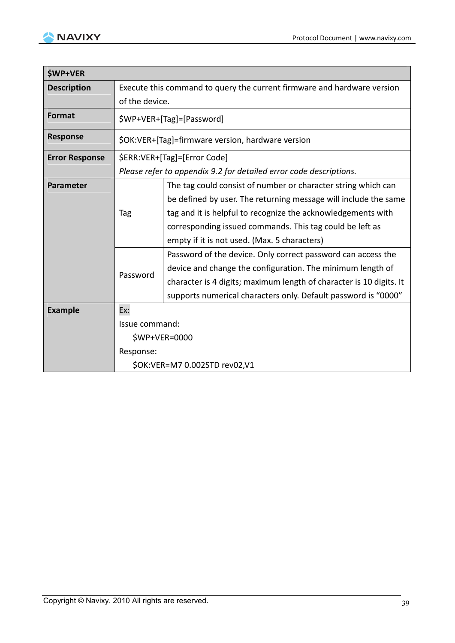

| <b>\$WP+VER</b>       |                                                                         |                                                                     |  |
|-----------------------|-------------------------------------------------------------------------|---------------------------------------------------------------------|--|
| <b>Description</b>    | Execute this command to query the current firmware and hardware version |                                                                     |  |
|                       | of the device.                                                          |                                                                     |  |
| Format                |                                                                         | \$WP+VER+[Tag]=[Password]                                           |  |
| <b>Response</b>       |                                                                         | \$OK:VER+[Tag]=firmware version, hardware version                   |  |
| <b>Error Response</b> |                                                                         | \$ERR:VER+[Tag]=[Error Code]                                        |  |
|                       | Please refer to appendix 9.2 for detailed error code descriptions.      |                                                                     |  |
| Parameter             |                                                                         | The tag could consist of number or character string which can       |  |
|                       |                                                                         | be defined by user. The returning message will include the same     |  |
|                       | Tag                                                                     | tag and it is helpful to recognize the acknowledgements with        |  |
|                       |                                                                         | corresponding issued commands. This tag could be left as            |  |
|                       |                                                                         | empty if it is not used. (Max. 5 characters)                        |  |
|                       |                                                                         | Password of the device. Only correct password can access the        |  |
|                       |                                                                         | device and change the configuration. The minimum length of          |  |
|                       | Password                                                                | character is 4 digits; maximum length of character is 10 digits. It |  |
|                       |                                                                         | supports numerical characters only. Default password is "0000"      |  |
| <b>Example</b>        | Ex:                                                                     |                                                                     |  |
|                       | Issue command:                                                          |                                                                     |  |
|                       |                                                                         | \$WP+VER=0000                                                       |  |
|                       | Response:                                                               |                                                                     |  |
|                       | \$OK:VER=M7 0.002STD rev02,V1                                           |                                                                     |  |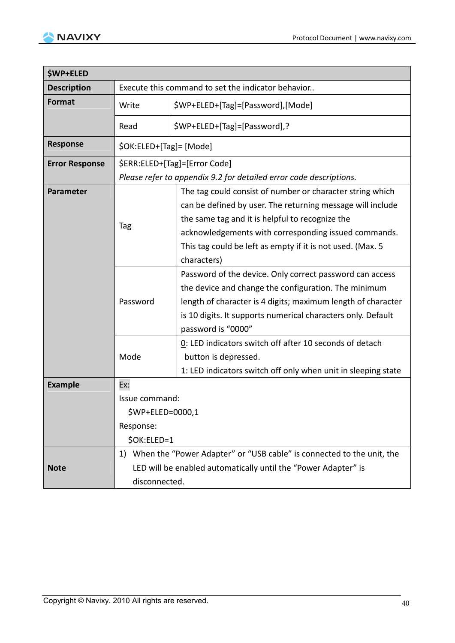

| <b>\$WP+ELED</b>      |                         |                                                                                                                                                                                                                                                                        |  |
|-----------------------|-------------------------|------------------------------------------------------------------------------------------------------------------------------------------------------------------------------------------------------------------------------------------------------------------------|--|
| <b>Description</b>    |                         | Execute this command to set the indicator behavior                                                                                                                                                                                                                     |  |
| <b>Format</b>         | Write                   | \$WP+ELED+[Tag]=[Password],[Mode]                                                                                                                                                                                                                                      |  |
|                       | Read                    | \$WP+ELED+[Tag]=[Password],?                                                                                                                                                                                                                                           |  |
| <b>Response</b>       | \$OK:ELED+[Tag]= [Mode] |                                                                                                                                                                                                                                                                        |  |
| <b>Error Response</b> |                         | \$ERR:ELED+[Tag]=[Error Code]                                                                                                                                                                                                                                          |  |
|                       |                         | Please refer to appendix 9.2 for detailed error code descriptions.                                                                                                                                                                                                     |  |
| <b>Parameter</b>      |                         | The tag could consist of number or character string which<br>can be defined by user. The returning message will include<br>the same tag and it is helpful to recognize the                                                                                             |  |
|                       | Tag                     | acknowledgements with corresponding issued commands.<br>This tag could be left as empty if it is not used. (Max. 5<br>characters)                                                                                                                                      |  |
|                       | Password                | Password of the device. Only correct password can access<br>the device and change the configuration. The minimum<br>length of character is 4 digits; maximum length of character<br>is 10 digits. It supports numerical characters only. Default<br>password is "0000" |  |
|                       | Mode                    | 0: LED indicators switch off after 10 seconds of detach<br>button is depressed.<br>1: LED indicators switch off only when unit in sleeping state                                                                                                                       |  |
| <b>Example</b>        | Ex:                     |                                                                                                                                                                                                                                                                        |  |
|                       | Issue command:          |                                                                                                                                                                                                                                                                        |  |
|                       | \$WP+ELED=0000,1        |                                                                                                                                                                                                                                                                        |  |
|                       | Response:               |                                                                                                                                                                                                                                                                        |  |
|                       | \$OK:ELED=1             |                                                                                                                                                                                                                                                                        |  |
|                       |                         | 1) When the "Power Adapter" or "USB cable" is connected to the unit, the                                                                                                                                                                                               |  |
| <b>Note</b>           |                         | LED will be enabled automatically until the "Power Adapter" is                                                                                                                                                                                                         |  |
|                       | disconnected.           |                                                                                                                                                                                                                                                                        |  |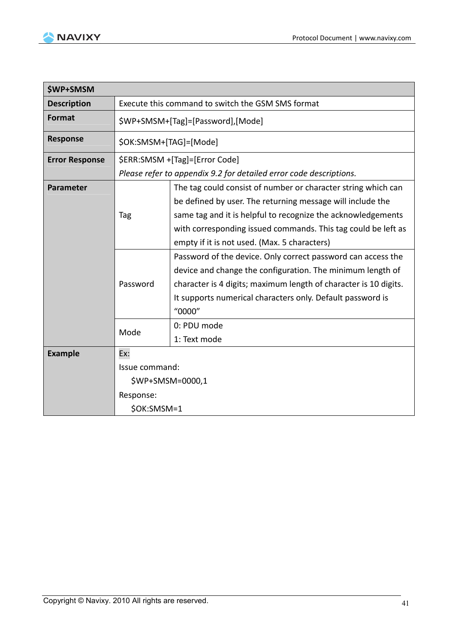

| <b>\$WP+SMSM</b>      |                                                   |                                                                                                                                                                                                                                                                                                              |  |
|-----------------------|---------------------------------------------------|--------------------------------------------------------------------------------------------------------------------------------------------------------------------------------------------------------------------------------------------------------------------------------------------------------------|--|
| <b>Description</b>    | Execute this command to switch the GSM SMS format |                                                                                                                                                                                                                                                                                                              |  |
| <b>Format</b>         |                                                   | \$WP+SMSM+[Tag]=[Password],[Mode]                                                                                                                                                                                                                                                                            |  |
| <b>Response</b>       | \$OK:SMSM+[TAG]=[Mode]                            |                                                                                                                                                                                                                                                                                                              |  |
| <b>Error Response</b> |                                                   | \$ERR:SMSM +[Tag]=[Error Code]                                                                                                                                                                                                                                                                               |  |
|                       |                                                   | Please refer to appendix 9.2 for detailed error code descriptions.                                                                                                                                                                                                                                           |  |
| Parameter             | Tag                                               | The tag could consist of number or character string which can<br>be defined by user. The returning message will include the<br>same tag and it is helpful to recognize the acknowledgements<br>with corresponding issued commands. This tag could be left as<br>empty if it is not used. (Max. 5 characters) |  |
|                       | Password                                          | Password of the device. Only correct password can access the<br>device and change the configuration. The minimum length of<br>character is 4 digits; maximum length of character is 10 digits.<br>It supports numerical characters only. Default password is<br>"0000"                                       |  |
|                       | Mode                                              | 0: PDU mode<br>1: Text mode                                                                                                                                                                                                                                                                                  |  |
| <b>Example</b>        | Ex:                                               |                                                                                                                                                                                                                                                                                                              |  |
|                       | Issue command:<br>\$WP+SMSM=0000,1                |                                                                                                                                                                                                                                                                                                              |  |
|                       | Response:                                         |                                                                                                                                                                                                                                                                                                              |  |
|                       | \$OK:SMSM=1                                       |                                                                                                                                                                                                                                                                                                              |  |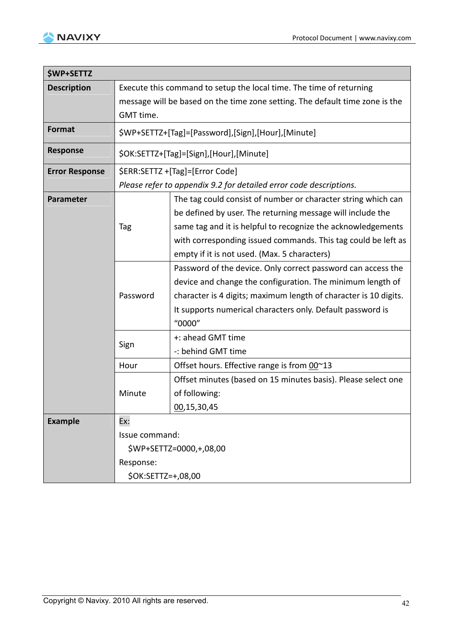

| <b>\$WP+SETTZ</b>     |                                                                                           |                                                                                                                                                                                                                                                                        |  |  |
|-----------------------|-------------------------------------------------------------------------------------------|------------------------------------------------------------------------------------------------------------------------------------------------------------------------------------------------------------------------------------------------------------------------|--|--|
| <b>Description</b>    | Execute this command to setup the local time. The time of returning                       |                                                                                                                                                                                                                                                                        |  |  |
|                       | message will be based on the time zone setting. The default time zone is the<br>GMT time. |                                                                                                                                                                                                                                                                        |  |  |
| Format                |                                                                                           | \$WP+SETTZ+[Tag]=[Password],[Sign],[Hour],[Minute]                                                                                                                                                                                                                     |  |  |
| <b>Response</b>       |                                                                                           | \$OK:SETTZ+[Tag]=[Sign],[Hour],[Minute]                                                                                                                                                                                                                                |  |  |
| <b>Error Response</b> |                                                                                           | \$ERR:SETTZ +[Tag]=[Error Code]                                                                                                                                                                                                                                        |  |  |
|                       |                                                                                           | Please refer to appendix 9.2 for detailed error code descriptions.                                                                                                                                                                                                     |  |  |
| <b>Parameter</b>      | Tag                                                                                       | The tag could consist of number or character string which can<br>be defined by user. The returning message will include the<br>same tag and it is helpful to recognize the acknowledgements<br>with corresponding issued commands. This tag could be left as           |  |  |
|                       |                                                                                           | empty if it is not used. (Max. 5 characters)                                                                                                                                                                                                                           |  |  |
|                       | Password                                                                                  | Password of the device. Only correct password can access the<br>device and change the configuration. The minimum length of<br>character is 4 digits; maximum length of character is 10 digits.<br>It supports numerical characters only. Default password is<br>"0000" |  |  |
|                       | Sign                                                                                      | +: ahead GMT time<br>-: behind GMT time                                                                                                                                                                                                                                |  |  |
|                       | Hour                                                                                      | Offset hours. Effective range is from 00~13                                                                                                                                                                                                                            |  |  |
|                       | Minute                                                                                    | Offset minutes (based on 15 minutes basis). Please select one<br>of following:<br>00,15,30,45                                                                                                                                                                          |  |  |
| <b>Example</b>        | Ex:                                                                                       |                                                                                                                                                                                                                                                                        |  |  |
|                       | Issue command:                                                                            |                                                                                                                                                                                                                                                                        |  |  |
|                       |                                                                                           | \$WP+SETTZ=0000,+,08,00                                                                                                                                                                                                                                                |  |  |
|                       | Response:                                                                                 |                                                                                                                                                                                                                                                                        |  |  |
|                       | \$OK:SETTZ=+,08,00                                                                        |                                                                                                                                                                                                                                                                        |  |  |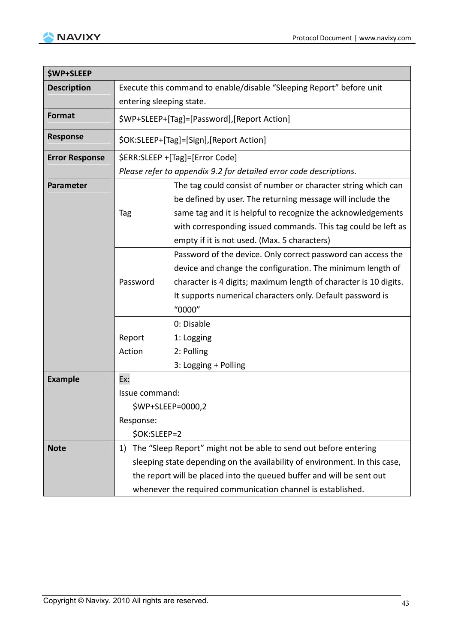

| <b>\$WP+SLEEP</b>     |                                                                                                                                                                                                                                                                                                              |                                                                                                                                                                                                                                                                                                              |  |
|-----------------------|--------------------------------------------------------------------------------------------------------------------------------------------------------------------------------------------------------------------------------------------------------------------------------------------------------------|--------------------------------------------------------------------------------------------------------------------------------------------------------------------------------------------------------------------------------------------------------------------------------------------------------------|--|
| <b>Description</b>    | Execute this command to enable/disable "Sleeping Report" before unit                                                                                                                                                                                                                                         |                                                                                                                                                                                                                                                                                                              |  |
|                       | entering sleeping state.                                                                                                                                                                                                                                                                                     |                                                                                                                                                                                                                                                                                                              |  |
| <b>Format</b>         | \$WP+SLEEP+[Tag]=[Password],[Report Action]                                                                                                                                                                                                                                                                  |                                                                                                                                                                                                                                                                                                              |  |
| <b>Response</b>       |                                                                                                                                                                                                                                                                                                              | \$OK:SLEEP+[Tag]=[Sign],[Report Action]                                                                                                                                                                                                                                                                      |  |
| <b>Error Response</b> |                                                                                                                                                                                                                                                                                                              | \$ERR:SLEEP +[Tag]=[Error Code]                                                                                                                                                                                                                                                                              |  |
|                       |                                                                                                                                                                                                                                                                                                              | Please refer to appendix 9.2 for detailed error code descriptions.                                                                                                                                                                                                                                           |  |
| Parameter             | Tag                                                                                                                                                                                                                                                                                                          | The tag could consist of number or character string which can<br>be defined by user. The returning message will include the<br>same tag and it is helpful to recognize the acknowledgements<br>with corresponding issued commands. This tag could be left as<br>empty if it is not used. (Max. 5 characters) |  |
|                       | Password                                                                                                                                                                                                                                                                                                     | Password of the device. Only correct password can access the<br>device and change the configuration. The minimum length of<br>character is 4 digits; maximum length of character is 10 digits.<br>It supports numerical characters only. Default password is<br>"0000"                                       |  |
|                       | Report<br>Action                                                                                                                                                                                                                                                                                             | 0: Disable<br>1: Logging<br>2: Polling<br>3: Logging + Polling                                                                                                                                                                                                                                               |  |
| <b>Example</b>        | Ex:<br>Issue command:<br>\$WP+SLEEP=0000,2<br>Response:                                                                                                                                                                                                                                                      |                                                                                                                                                                                                                                                                                                              |  |
| <b>Note</b>           | \$OK:SLEEP=2<br>The "Sleep Report" might not be able to send out before entering<br>1)<br>sleeping state depending on the availability of environment. In this case,<br>the report will be placed into the queued buffer and will be sent out<br>whenever the required communication channel is established. |                                                                                                                                                                                                                                                                                                              |  |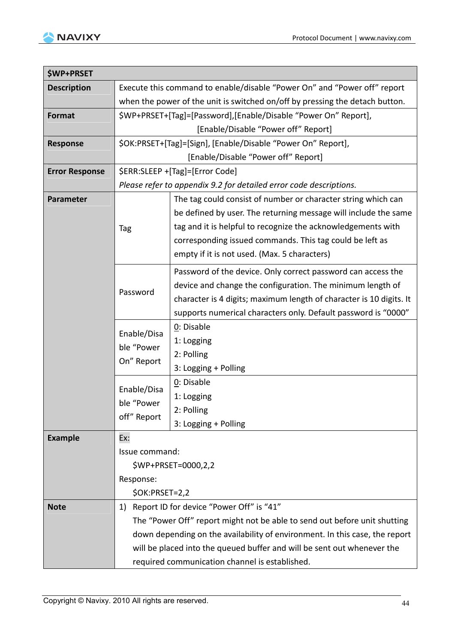

| <b>\$WP+PRSET</b>     |                                                                          |                                                                              |  |  |  |
|-----------------------|--------------------------------------------------------------------------|------------------------------------------------------------------------------|--|--|--|
| <b>Description</b>    | Execute this command to enable/disable "Power On" and "Power off" report |                                                                              |  |  |  |
|                       |                                                                          | when the power of the unit is switched on/off by pressing the detach button. |  |  |  |
| Format                |                                                                          | \$WP+PRSET+[Tag]=[Password],[Enable/Disable "Power On" Report],              |  |  |  |
|                       | [Enable/Disable "Power off" Report]                                      |                                                                              |  |  |  |
| <b>Response</b>       |                                                                          | \$OK:PRSET+[Tag]=[Sign], [Enable/Disable "Power On" Report],                 |  |  |  |
|                       |                                                                          | [Enable/Disable "Power off" Report]                                          |  |  |  |
| <b>Error Response</b> |                                                                          | \$ERR:SLEEP +[Tag]=[Error Code]                                              |  |  |  |
|                       |                                                                          | Please refer to appendix 9.2 for detailed error code descriptions.           |  |  |  |
| Parameter             |                                                                          | The tag could consist of number or character string which can                |  |  |  |
|                       |                                                                          | be defined by user. The returning message will include the same              |  |  |  |
|                       | Tag                                                                      | tag and it is helpful to recognize the acknowledgements with                 |  |  |  |
|                       |                                                                          | corresponding issued commands. This tag could be left as                     |  |  |  |
|                       |                                                                          | empty if it is not used. (Max. 5 characters)                                 |  |  |  |
|                       |                                                                          | Password of the device. Only correct password can access the                 |  |  |  |
|                       |                                                                          | device and change the configuration. The minimum length of                   |  |  |  |
|                       | Password                                                                 | character is 4 digits; maximum length of character is 10 digits. It          |  |  |  |
|                       |                                                                          | supports numerical characters only. Default password is "0000"               |  |  |  |
|                       |                                                                          | 0: Disable                                                                   |  |  |  |
|                       | Enable/Disa<br>ble "Power<br>On" Report                                  | 1: Logging                                                                   |  |  |  |
|                       |                                                                          | 2: Polling                                                                   |  |  |  |
|                       |                                                                          | 3: Logging + Polling                                                         |  |  |  |
|                       | Enable/Disa                                                              | 0: Disable                                                                   |  |  |  |
|                       |                                                                          | 1: Logging                                                                   |  |  |  |
|                       | ble "Power                                                               | 2: Polling                                                                   |  |  |  |
|                       | off" Report                                                              | 3: Logging + Polling                                                         |  |  |  |
| <b>Example</b>        | Ex:                                                                      |                                                                              |  |  |  |
|                       | Issue command:                                                           |                                                                              |  |  |  |
|                       |                                                                          | \$WP+PRSET=0000,2,2                                                          |  |  |  |
|                       | Response:                                                                |                                                                              |  |  |  |
|                       | \$OK:PRSET=2,2                                                           |                                                                              |  |  |  |
| <b>Note</b>           | 1)                                                                       | Report ID for device "Power Off" is "41"                                     |  |  |  |
|                       |                                                                          | The "Power Off" report might not be able to send out before unit shutting    |  |  |  |
|                       |                                                                          | down depending on the availability of environment. In this case, the report  |  |  |  |
|                       |                                                                          | will be placed into the queued buffer and will be sent out whenever the      |  |  |  |
|                       | required communication channel is established.                           |                                                                              |  |  |  |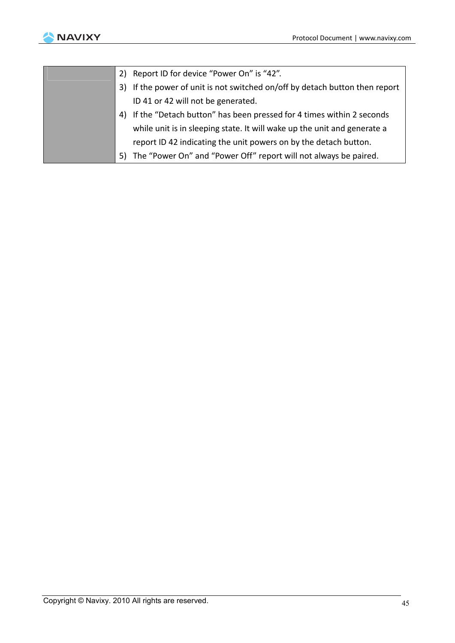

| 2) Report ID for device "Power On" is "42".                                 |
|-----------------------------------------------------------------------------|
| 3) If the power of unit is not switched on/off by detach button then report |
| ID 41 or 42 will not be generated.                                          |
| 4) If the "Detach button" has been pressed for 4 times within 2 seconds     |
| while unit is in sleeping state. It will wake up the unit and generate a    |
| report ID 42 indicating the unit powers on by the detach button.            |
| 5) The "Power On" and "Power Off" report will not always be paired.         |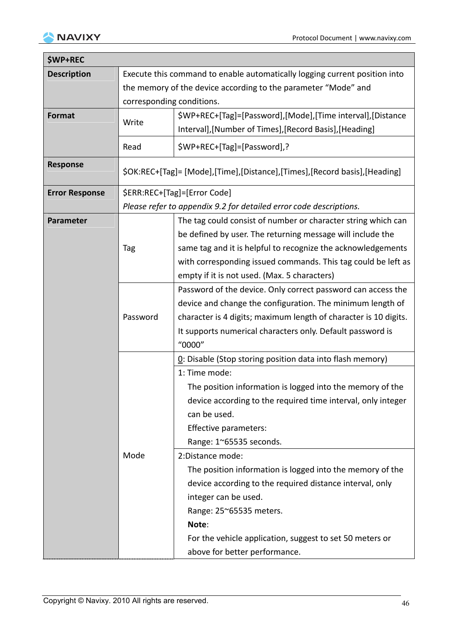

| <b>\$WP+REC</b>       |                                                                            |                                                                           |  |  |
|-----------------------|----------------------------------------------------------------------------|---------------------------------------------------------------------------|--|--|
| <b>Description</b>    | Execute this command to enable automatically logging current position into |                                                                           |  |  |
|                       | the memory of the device according to the parameter "Mode" and             |                                                                           |  |  |
|                       |                                                                            | corresponding conditions.                                                 |  |  |
| <b>Format</b>         | Write                                                                      | \$WP+REC+[Tag]=[Password],[Mode],[Time interval],[Distance                |  |  |
|                       |                                                                            | Interval], [Number of Times], [Record Basis], [Heading]                   |  |  |
|                       | Read                                                                       | \$WP+REC+[Tag]=[Password],?                                               |  |  |
| <b>Response</b>       |                                                                            | \$OK:REC+[Tag]= [Mode],[Time],[Distance],[Times],[Record basis],[Heading] |  |  |
| <b>Error Response</b> |                                                                            | \$ERR:REC+[Tag]=[Error Code]                                              |  |  |
|                       |                                                                            | Please refer to appendix 9.2 for detailed error code descriptions.        |  |  |
| Parameter             |                                                                            | The tag could consist of number or character string which can             |  |  |
|                       |                                                                            | be defined by user. The returning message will include the                |  |  |
|                       | Tag                                                                        | same tag and it is helpful to recognize the acknowledgements              |  |  |
|                       |                                                                            | with corresponding issued commands. This tag could be left as             |  |  |
|                       |                                                                            | empty if it is not used. (Max. 5 characters)                              |  |  |
|                       |                                                                            | Password of the device. Only correct password can access the              |  |  |
|                       |                                                                            | device and change the configuration. The minimum length of                |  |  |
|                       | Password                                                                   | character is 4 digits; maximum length of character is 10 digits.          |  |  |
|                       |                                                                            | It supports numerical characters only. Default password is                |  |  |
|                       |                                                                            | "0000"                                                                    |  |  |
|                       |                                                                            | $0$ : Disable (Stop storing position data into flash memory)              |  |  |
|                       |                                                                            | 1: Time mode:                                                             |  |  |
|                       |                                                                            | The position information is logged into the memory of the                 |  |  |
|                       |                                                                            | device according to the required time interval, only integer              |  |  |
|                       |                                                                            | can be used.                                                              |  |  |
|                       |                                                                            | Effective parameters:                                                     |  |  |
|                       |                                                                            | Range: 1~65535 seconds.                                                   |  |  |
|                       | Mode                                                                       | 2:Distance mode:                                                          |  |  |
|                       |                                                                            | The position information is logged into the memory of the                 |  |  |
|                       |                                                                            | device according to the required distance interval, only                  |  |  |
|                       |                                                                            | integer can be used.                                                      |  |  |
|                       |                                                                            | Range: 25~65535 meters.                                                   |  |  |
|                       |                                                                            | Note:                                                                     |  |  |
|                       |                                                                            | For the vehicle application, suggest to set 50 meters or                  |  |  |
|                       |                                                                            | above for better performance.                                             |  |  |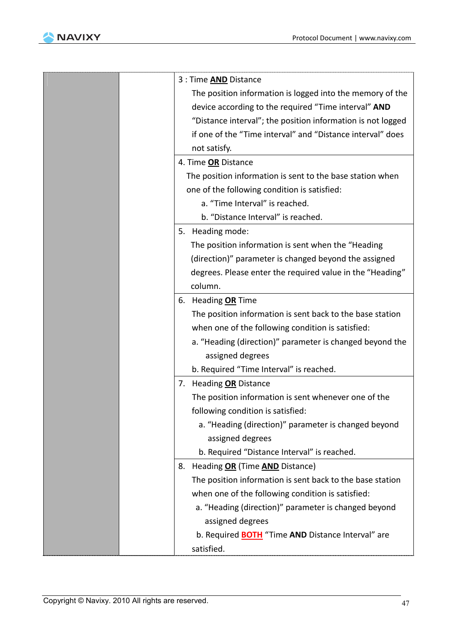

| 3 : Time <b>AND</b> Distance                                |
|-------------------------------------------------------------|
| The position information is logged into the memory of the   |
| device according to the required "Time interval" AND        |
| "Distance interval"; the position information is not logged |
| if one of the "Time interval" and "Distance interval" does  |
| not satisfy.                                                |
| 4. Time OR Distance                                         |
| The position information is sent to the base station when   |
| one of the following condition is satisfied:                |
| a. "Time Interval" is reached.                              |
| b. "Distance Interval" is reached.                          |
| Heading mode:<br>5.                                         |
| The position information is sent when the "Heading          |
| (direction)" parameter is changed beyond the assigned       |
| degrees. Please enter the required value in the "Heading"   |
| column.                                                     |
| 6. Heading OR Time                                          |
| The position information is sent back to the base station   |
| when one of the following condition is satisfied:           |
| a. "Heading (direction)" parameter is changed beyond the    |
| assigned degrees                                            |
| b. Required "Time Interval" is reached.                     |
| 7. Heading OR Distance                                      |
| The position information is sent whenever one of the        |
| following condition is satisfied:                           |
| a. "Heading (direction)" parameter is changed beyond        |
| assigned degrees                                            |
| b. Required "Distance Interval" is reached.                 |
| 8. Heading OR (Time AND Distance)                           |
| The position information is sent back to the base station   |
| when one of the following condition is satisfied:           |
| a. "Heading (direction)" parameter is changed beyond        |
| assigned degrees                                            |
|                                                             |
| b. Required <b>BOTH</b> "Time AND Distance Interval" are    |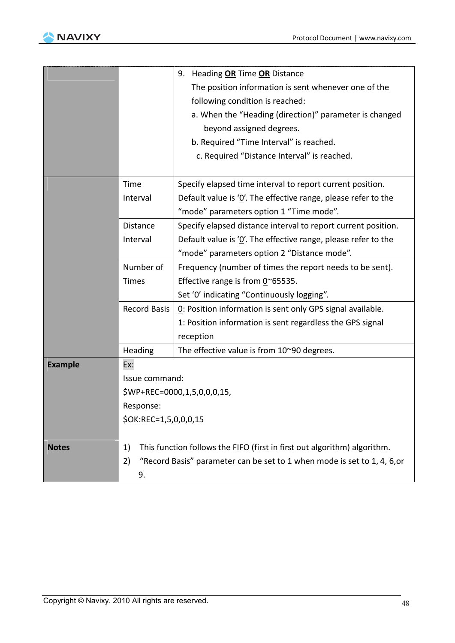

|                |                       | 9. Heading OR Time OR Distance                                           |  |
|----------------|-----------------------|--------------------------------------------------------------------------|--|
|                |                       | The position information is sent whenever one of the                     |  |
|                |                       | following condition is reached:                                          |  |
|                |                       | a. When the "Heading (direction)" parameter is changed                   |  |
|                |                       | beyond assigned degrees.                                                 |  |
|                |                       | b. Required "Time Interval" is reached.                                  |  |
|                |                       | c. Required "Distance Interval" is reached.                              |  |
|                |                       |                                                                          |  |
|                | Time                  | Specify elapsed time interval to report current position.                |  |
|                | Interval              | Default value is $'Q'$ . The effective range, please refer to the        |  |
|                |                       | "mode" parameters option 1 "Time mode".                                  |  |
|                | Distance              | Specify elapsed distance interval to report current position.            |  |
|                | Interval              | Default value is $'Q'$ . The effective range, please refer to the        |  |
|                |                       | "mode" parameters option 2 "Distance mode".                              |  |
|                | Number of             | Frequency (number of times the report needs to be sent).                 |  |
|                | <b>Times</b>          | Effective range is from $0^{\circ}$ 65535.                               |  |
|                |                       | Set '0' indicating "Continuously logging".                               |  |
|                | <b>Record Basis</b>   | 0: Position information is sent only GPS signal available.               |  |
|                |                       | 1: Position information is sent regardless the GPS signal                |  |
|                |                       | reception                                                                |  |
|                | Heading               | The effective value is from 10~90 degrees.                               |  |
| <b>Example</b> | Ex:                   |                                                                          |  |
|                | Issue command:        |                                                                          |  |
|                |                       | \$WP+REC=0000,1,5,0,0,0,15,                                              |  |
|                | Response:             |                                                                          |  |
|                | \$OK:REC=1,5,0,0,0,15 |                                                                          |  |
|                |                       |                                                                          |  |
| <b>Notes</b>   | 1)                    | This function follows the FIFO (first in first out algorithm) algorithm. |  |
|                | 2)                    | "Record Basis" parameter can be set to 1 when mode is set to 1, 4, 6, or |  |
|                | 9.                    |                                                                          |  |
|                |                       |                                                                          |  |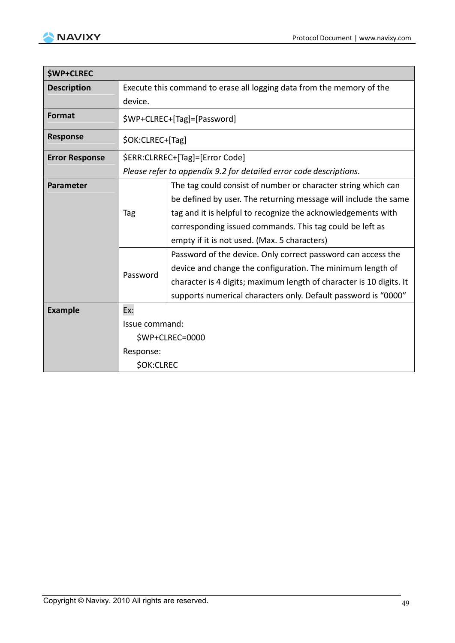

| <b>\$WP+CLREC</b>     |                                                                                  |                                                                                                                                                                                                                                                                                                                                                                                                                                                                                                                                                                                     |  |  |
|-----------------------|----------------------------------------------------------------------------------|-------------------------------------------------------------------------------------------------------------------------------------------------------------------------------------------------------------------------------------------------------------------------------------------------------------------------------------------------------------------------------------------------------------------------------------------------------------------------------------------------------------------------------------------------------------------------------------|--|--|
| <b>Description</b>    | Execute this command to erase all logging data from the memory of the<br>device. |                                                                                                                                                                                                                                                                                                                                                                                                                                                                                                                                                                                     |  |  |
| <b>Format</b>         |                                                                                  | \$WP+CLREC+[Tag]=[Password]                                                                                                                                                                                                                                                                                                                                                                                                                                                                                                                                                         |  |  |
| <b>Response</b>       | \$OK:CLREC+[Tag]                                                                 |                                                                                                                                                                                                                                                                                                                                                                                                                                                                                                                                                                                     |  |  |
| <b>Error Response</b> | \$ERR:CLRREC+[Tag]=[Error Code]                                                  |                                                                                                                                                                                                                                                                                                                                                                                                                                                                                                                                                                                     |  |  |
|                       |                                                                                  | Please refer to appendix 9.2 for detailed error code descriptions.                                                                                                                                                                                                                                                                                                                                                                                                                                                                                                                  |  |  |
| <b>Parameter</b>      | Tag<br>Password                                                                  | The tag could consist of number or character string which can<br>be defined by user. The returning message will include the same<br>tag and it is helpful to recognize the acknowledgements with<br>corresponding issued commands. This tag could be left as<br>empty if it is not used. (Max. 5 characters)<br>Password of the device. Only correct password can access the<br>device and change the configuration. The minimum length of<br>character is 4 digits; maximum length of character is 10 digits. It<br>supports numerical characters only. Default password is "0000" |  |  |
| <b>Example</b>        | Ex:                                                                              |                                                                                                                                                                                                                                                                                                                                                                                                                                                                                                                                                                                     |  |  |
|                       | Issue command:                                                                   |                                                                                                                                                                                                                                                                                                                                                                                                                                                                                                                                                                                     |  |  |
|                       |                                                                                  | \$WP+CLREC=0000                                                                                                                                                                                                                                                                                                                                                                                                                                                                                                                                                                     |  |  |
|                       | Response:                                                                        |                                                                                                                                                                                                                                                                                                                                                                                                                                                                                                                                                                                     |  |  |
|                       | <b>\$OK:CLREC</b>                                                                |                                                                                                                                                                                                                                                                                                                                                                                                                                                                                                                                                                                     |  |  |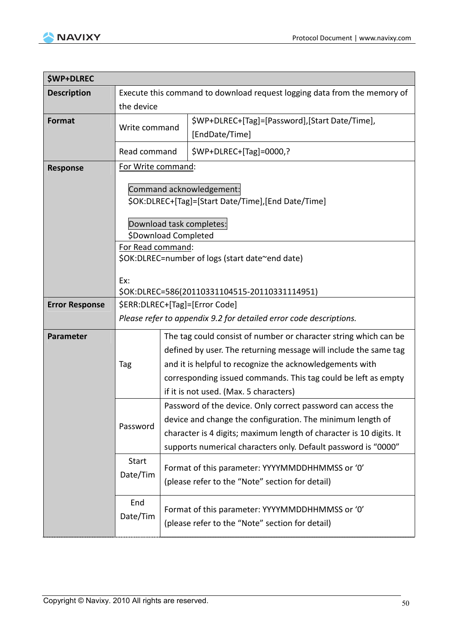

| <b>\$WP+DLREC</b>     |                                                                                                            |                                                                                                                                                                                                                                                                     |                                                                                                                                                                                                                                                                                                              |  |
|-----------------------|------------------------------------------------------------------------------------------------------------|---------------------------------------------------------------------------------------------------------------------------------------------------------------------------------------------------------------------------------------------------------------------|--------------------------------------------------------------------------------------------------------------------------------------------------------------------------------------------------------------------------------------------------------------------------------------------------------------|--|
| <b>Description</b>    | Execute this command to download request logging data from the memory of                                   |                                                                                                                                                                                                                                                                     |                                                                                                                                                                                                                                                                                                              |  |
|                       | the device                                                                                                 |                                                                                                                                                                                                                                                                     |                                                                                                                                                                                                                                                                                                              |  |
| <b>Format</b>         | Write command                                                                                              |                                                                                                                                                                                                                                                                     | \$WP+DLREC+[Tag]=[Password],[Start Date/Time],<br>[EndDate/Time]                                                                                                                                                                                                                                             |  |
|                       | Read command                                                                                               |                                                                                                                                                                                                                                                                     | \$WP+DLREC+[Tag]=0000,?                                                                                                                                                                                                                                                                                      |  |
| <b>Response</b>       | For Write command:                                                                                         |                                                                                                                                                                                                                                                                     |                                                                                                                                                                                                                                                                                                              |  |
|                       | Command acknowledgement:<br>\$OK:DLREC+[Tag]=[Start Date/Time],[End Date/Time]<br>Download task completes: |                                                                                                                                                                                                                                                                     |                                                                                                                                                                                                                                                                                                              |  |
|                       |                                                                                                            |                                                                                                                                                                                                                                                                     |                                                                                                                                                                                                                                                                                                              |  |
|                       | \$Download Completed<br>For Read command:<br>\$OK:DLREC=number of logs (start date~end date)               |                                                                                                                                                                                                                                                                     |                                                                                                                                                                                                                                                                                                              |  |
|                       | Ex:<br>\$OK:DLREC=586(20110331104515-20110331114951)                                                       |                                                                                                                                                                                                                                                                     |                                                                                                                                                                                                                                                                                                              |  |
| <b>Error Response</b> | \$ERR:DLREC+[Tag]=[Error Code]                                                                             |                                                                                                                                                                                                                                                                     |                                                                                                                                                                                                                                                                                                              |  |
|                       | Please refer to appendix 9.2 for detailed error code descriptions.                                         |                                                                                                                                                                                                                                                                     |                                                                                                                                                                                                                                                                                                              |  |
| <b>Parameter</b>      | Tag                                                                                                        |                                                                                                                                                                                                                                                                     | The tag could consist of number or character string which can be<br>defined by user. The returning message will include the same tag<br>and it is helpful to recognize the acknowledgements with<br>corresponding issued commands. This tag could be left as empty<br>if it is not used. (Max. 5 characters) |  |
|                       | Password                                                                                                   | Password of the device. Only correct password can access the<br>device and change the configuration. The minimum length of<br>character is 4 digits; maximum length of character is 10 digits. It<br>supports numerical characters only. Default password is "0000" |                                                                                                                                                                                                                                                                                                              |  |
|                       | <b>Start</b><br>Date/Tim                                                                                   | Format of this parameter: YYYYMMDDHHMMSS or '0'<br>(please refer to the "Note" section for detail)                                                                                                                                                                  |                                                                                                                                                                                                                                                                                                              |  |
|                       | End<br>Date/Tim                                                                                            |                                                                                                                                                                                                                                                                     | Format of this parameter: YYYYMMDDHHMMSS or '0'<br>(please refer to the "Note" section for detail)                                                                                                                                                                                                           |  |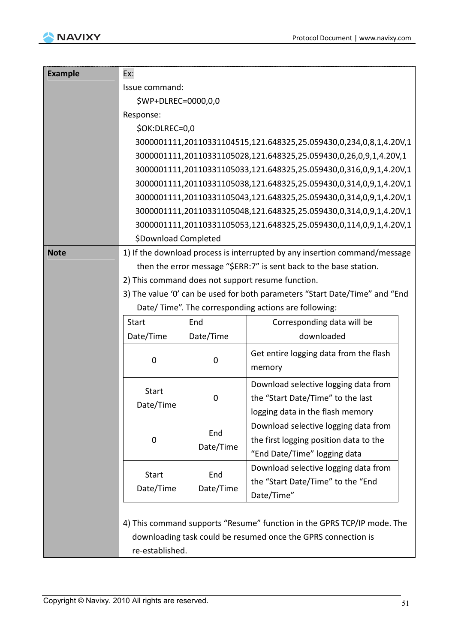

| <b>Example</b> | Ex:                                                               |                  |                                                                                                                |  |  |  |
|----------------|-------------------------------------------------------------------|------------------|----------------------------------------------------------------------------------------------------------------|--|--|--|
|                | Issue command:                                                    |                  |                                                                                                                |  |  |  |
|                | \$WP+DLREC=0000,0,0                                               |                  |                                                                                                                |  |  |  |
|                | Response:                                                         |                  |                                                                                                                |  |  |  |
|                | \$OK:DLREC=0,0                                                    |                  |                                                                                                                |  |  |  |
|                |                                                                   |                  | 3000001111,20110331104515,121.648325,25.059430,0,234,0,8,1,4.20V,1                                             |  |  |  |
|                | 3000001111,20110331105028,121.648325,25.059430,0,26,0,9,1,4.20V,1 |                  |                                                                                                                |  |  |  |
|                |                                                                   |                  | 3000001111,20110331105033,121.648325,25.059430,0,316,0,9,1,4.20V,1                                             |  |  |  |
|                |                                                                   |                  | 3000001111,20110331105038,121.648325,25.059430,0,314,0,9,1,4.20V,1                                             |  |  |  |
|                |                                                                   |                  | 3000001111,20110331105043,121.648325,25.059430,0,314,0,9,1,4.20V,1                                             |  |  |  |
|                |                                                                   |                  | 3000001111,20110331105048,121.648325,25.059430,0,314,0,9,1,4.20V,1                                             |  |  |  |
|                |                                                                   |                  | 3000001111,20110331105053,121.648325,25.059430,0,114,0,9,1,4.20V,1                                             |  |  |  |
|                | \$Download Completed                                              |                  |                                                                                                                |  |  |  |
| <b>Note</b>    |                                                                   |                  | 1) If the download process is interrupted by any insertion command/message                                     |  |  |  |
|                |                                                                   |                  | then the error message "\$ERR:7" is sent back to the base station.                                             |  |  |  |
|                |                                                                   |                  | 2) This command does not support resume function.                                                              |  |  |  |
|                |                                                                   |                  | 3) The value '0' can be used for both parameters "Start Date/Time" and "End                                    |  |  |  |
|                |                                                                   |                  | Date/ Time". The corresponding actions are following:                                                          |  |  |  |
|                | <b>Start</b>                                                      | End              | Corresponding data will be                                                                                     |  |  |  |
|                | Date/Time                                                         | Date/Time        | downloaded                                                                                                     |  |  |  |
|                | $\mathbf 0$                                                       | $\boldsymbol{0}$ | Get entire logging data from the flash<br>memory                                                               |  |  |  |
|                | <b>Start</b><br>Date/Time                                         | 0                | Download selective logging data from<br>the "Start Date/Time" to the last<br>logging data in the flash memory  |  |  |  |
|                | $\mathbf 0$                                                       | End<br>Date/Time | Download selective logging data from<br>the first logging position data to the<br>"End Date/Time" logging data |  |  |  |
|                | <b>Start</b>                                                      | End              | Download selective logging data from<br>the "Start Date/Time" to the "End                                      |  |  |  |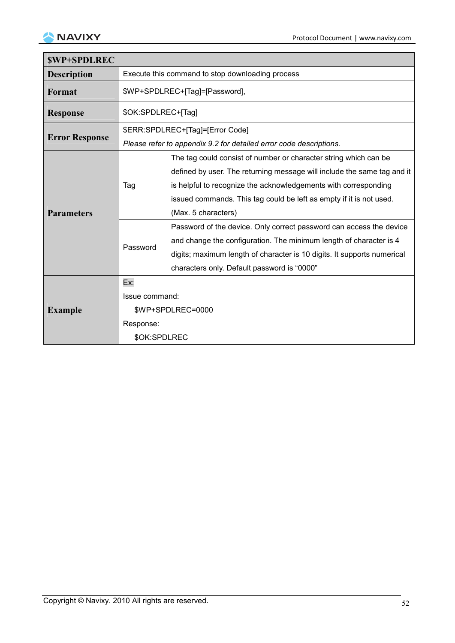

| <b>SWP+SPDLREC</b>    |                                                  |                                                                         |  |  |
|-----------------------|--------------------------------------------------|-------------------------------------------------------------------------|--|--|
| <b>Description</b>    | Execute this command to stop downloading process |                                                                         |  |  |
| Format                |                                                  | \$WP+SPDLREC+[Tag]=[Password],                                          |  |  |
| <b>Response</b>       |                                                  | \$OK:SPDLREC+[Tag]                                                      |  |  |
| <b>Error Response</b> |                                                  | \$ERR:SPDLREC+[Tag]=[Error Code]                                        |  |  |
|                       |                                                  | Please refer to appendix 9.2 for detailed error code descriptions.      |  |  |
|                       |                                                  | The tag could consist of number or character string which can be        |  |  |
|                       |                                                  | defined by user. The returning message will include the same tag and it |  |  |
|                       | Tag                                              | is helpful to recognize the acknowledgements with corresponding         |  |  |
|                       |                                                  | issued commands. This tag could be left as empty if it is not used.     |  |  |
| <b>Parameters</b>     |                                                  | (Max. 5 characters)                                                     |  |  |
|                       | Password                                         | Password of the device. Only correct password can access the device     |  |  |
|                       |                                                  | and change the configuration. The minimum length of character is 4      |  |  |
|                       |                                                  | digits; maximum length of character is 10 digits. It supports numerical |  |  |
|                       |                                                  | characters only. Default password is "0000"                             |  |  |
|                       | Ex:                                              |                                                                         |  |  |
|                       | Issue command:                                   |                                                                         |  |  |
| <b>Example</b>        | \$WP+SPDLREC=0000                                |                                                                         |  |  |
|                       | Response:                                        |                                                                         |  |  |
|                       | \$OK:SPDLREC                                     |                                                                         |  |  |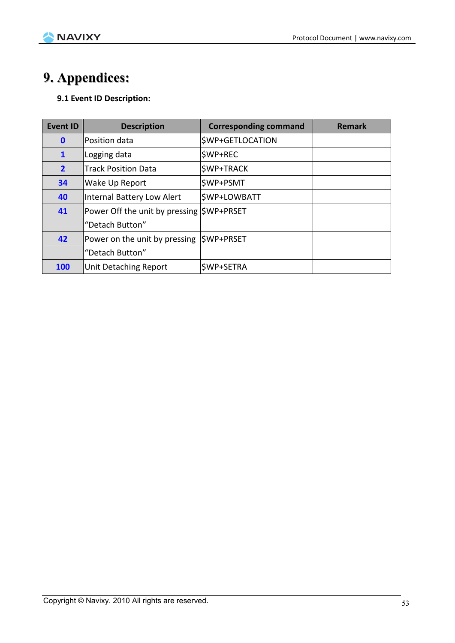

# **9. Appendices:**

#### **9.1 Event ID Description:**

| <b>Event ID</b> | <b>Description</b>                       | <b>Corresponding command</b> | <b>Remark</b> |
|-----------------|------------------------------------------|------------------------------|---------------|
| $\mathbf 0$     | Position data                            | <b>\$WP+GETLOCATION</b>      |               |
| $\mathbf{1}$    | Logging data                             | <b>SWP+REC</b>               |               |
| $\overline{2}$  | <b>Track Position Data</b>               | <b>\$WP+TRACK</b>            |               |
| 34              | Wake Up Report                           | <b>\$WP+PSMT</b>             |               |
| 40              | Internal Battery Low Alert               | <b>\$WP+LOWBATT</b>          |               |
| 41              | Power Off the unit by pressing SWP+PRSET |                              |               |
|                 | "Detach Button"                          |                              |               |
| 42              | Power on the unit by pressing            | SWP+PRSET                    |               |
|                 | "Detach Button"                          |                              |               |
| <b>100</b>      | <b>Unit Detaching Report</b>             | \$WP+SETRA                   |               |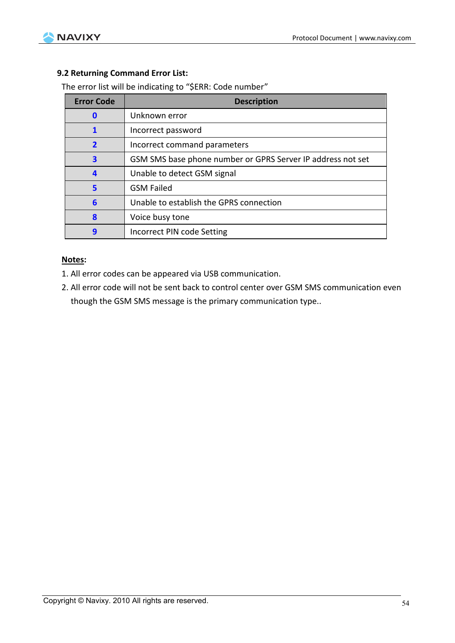

#### **9.2 Returning Command Error List:**

The error list will be indicating to "\$ERR: Code number"

| <b>Error Code</b>       | <b>Description</b>                                          |
|-------------------------|-------------------------------------------------------------|
| n                       | Unknown error                                               |
|                         | Incorrect password                                          |
| $\overline{\mathbf{2}}$ | Incorrect command parameters                                |
| 3                       | GSM SMS base phone number or GPRS Server IP address not set |
| $\boldsymbol{4}$        | Unable to detect GSM signal                                 |
| 5                       | <b>GSM Failed</b>                                           |
| 6                       | Unable to establish the GPRS connection                     |
| 8                       | Voice busy tone                                             |
| q                       | Incorrect PIN code Setting                                  |

#### **Notes:**

- 1. All error codes can be appeared via USB communication.
- 2. All error code will not be sent back to control center over GSM SMS communication even though the GSM SMS message is the primary communication type..